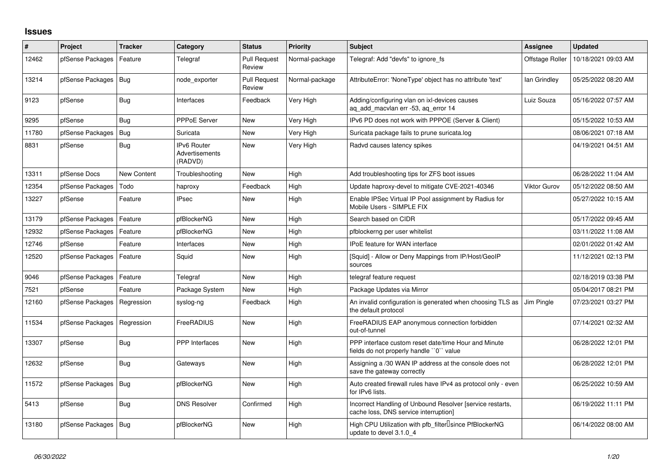## **Issues**

| ∦     | Project                | <b>Tracker</b> | Category                                        | <b>Status</b>                 | <b>Priority</b> | <b>Subject</b>                                                                                     | Assignee            | <b>Updated</b>      |
|-------|------------------------|----------------|-------------------------------------------------|-------------------------------|-----------------|----------------------------------------------------------------------------------------------------|---------------------|---------------------|
| 12462 | pfSense Packages       | Feature        | Telegraf                                        | <b>Pull Request</b><br>Review | Normal-package  | Telegraf: Add "devfs" to ignore fs                                                                 | Offstage Roller     | 10/18/2021 09:03 AM |
| 13214 | pfSense Packages       | Bug            | node exporter                                   | <b>Pull Request</b><br>Review | Normal-package  | AttributeError: 'NoneType' object has no attribute 'text'                                          | lan Grindley        | 05/25/2022 08:20 AM |
| 9123  | pfSense                | Bug            | Interfaces                                      | Feedback                      | Very High       | Adding/configuring vlan on ixl-devices causes<br>ag add macvlan err -53, ag error 14               | Luiz Souza          | 05/16/2022 07:57 AM |
| 9295  | pfSense                | <b>Bug</b>     | <b>PPPoE Server</b>                             | <b>New</b>                    | Very High       | IPv6 PD does not work with PPPOE (Server & Client)                                                 |                     | 05/15/2022 10:53 AM |
| 11780 | pfSense Packages       | <b>Bug</b>     | Suricata                                        | <b>New</b>                    | Very High       | Suricata package fails to prune suricata.log                                                       |                     | 08/06/2021 07:18 AM |
| 8831  | pfSense                | Bug            | <b>IPv6 Router</b><br>Advertisements<br>(RADVD) | New                           | Very High       | Radvd causes latency spikes                                                                        |                     | 04/19/2021 04:51 AM |
| 13311 | pfSense Docs           | New Content    | Troubleshooting                                 | <b>New</b>                    | High            | Add troubleshooting tips for ZFS boot issues                                                       |                     | 06/28/2022 11:04 AM |
| 12354 | pfSense Packages       | Todo           | haproxy                                         | Feedback                      | High            | Update haproxy-devel to mitigate CVE-2021-40346                                                    | <b>Viktor Gurov</b> | 05/12/2022 08:50 AM |
| 13227 | pfSense                | Feature        | <b>IPsec</b>                                    | <b>New</b>                    | High            | Enable IPSec Virtual IP Pool assignment by Radius for<br>Mobile Users - SIMPLE FIX                 |                     | 05/27/2022 10:15 AM |
| 13179 | pfSense Packages       | Feature        | pfBlockerNG                                     | <b>New</b>                    | High            | Search based on CIDR                                                                               |                     | 05/17/2022 09:45 AM |
| 12932 | pfSense Packages       | Feature        | pfBlockerNG                                     | New                           | High            | pfblockerng per user whitelist                                                                     |                     | 03/11/2022 11:08 AM |
| 12746 | pfSense                | Feature        | Interfaces                                      | <b>New</b>                    | High            | <b>IPoE</b> feature for WAN interface                                                              |                     | 02/01/2022 01:42 AM |
| 12520 | pfSense Packages       | Feature        | Squid                                           | New                           | High            | [Squid] - Allow or Deny Mappings from IP/Host/GeoIP<br>sources                                     |                     | 11/12/2021 02:13 PM |
| 9046  | pfSense Packages       | Feature        | Telegraf                                        | <b>New</b>                    | High            | telegraf feature request                                                                           |                     | 02/18/2019 03:38 PM |
| 7521  | pfSense                | Feature        | Package System                                  | New                           | High            | Package Updates via Mirror                                                                         |                     | 05/04/2017 08:21 PM |
| 12160 | pfSense Packages       | Regression     | syslog-ng                                       | Feedback                      | High            | An invalid configuration is generated when choosing TLS as J Jim Pingle<br>the default protocol    |                     | 07/23/2021 03:27 PM |
| 11534 | pfSense Packages       | Regression     | FreeRADIUS                                      | New                           | High            | FreeRADIUS EAP anonymous connection forbidden<br>out-of-tunnel                                     |                     | 07/14/2021 02:32 AM |
| 13307 | pfSense                | <b>Bug</b>     | <b>PPP</b> Interfaces                           | New                           | High            | PPP interface custom reset date/time Hour and Minute<br>fields do not properly handle "0" value    |                     | 06/28/2022 12:01 PM |
| 12632 | pfSense                | Bug            | Gateways                                        | <b>New</b>                    | High            | Assigning a /30 WAN IP address at the console does not<br>save the gateway correctly               |                     | 06/28/2022 12:01 PM |
| 11572 | pfSense Packages   Bug |                | pfBlockerNG                                     | New                           | High            | Auto created firewall rules have IPv4 as protocol only - even<br>for IPv6 lists.                   |                     | 06/25/2022 10:59 AM |
| 5413  | pfSense                | Bug            | <b>DNS Resolver</b>                             | Confirmed                     | High            | Incorrect Handling of Unbound Resolver [service restarts,<br>cache loss, DNS service interruption] |                     | 06/19/2022 11:11 PM |
| 13180 | pfSense Packages   Bug |                | pfBlockerNG                                     | <b>New</b>                    | High            | High CPU Utilization with pfb_filter <sup>[]</sup> since PfBlockerNG<br>update to devel 3.1.0 4    |                     | 06/14/2022 08:00 AM |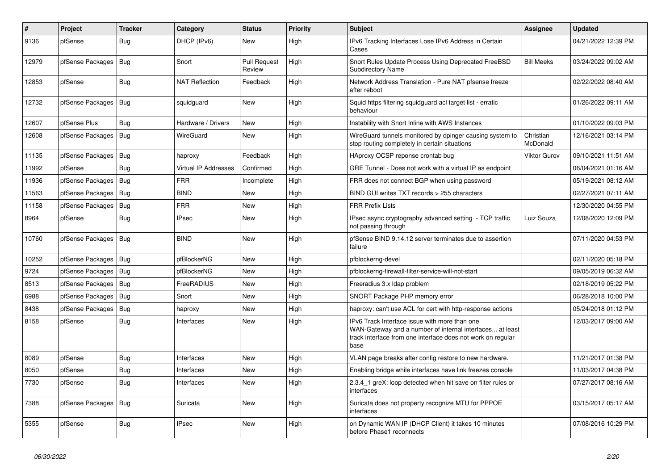| #     | Project          | <b>Tracker</b> | Category                    | <b>Status</b>                 | <b>Priority</b> | <b>Subject</b>                                                                                                                                                                   | Assignee              | <b>Updated</b>      |
|-------|------------------|----------------|-----------------------------|-------------------------------|-----------------|----------------------------------------------------------------------------------------------------------------------------------------------------------------------------------|-----------------------|---------------------|
| 9136  | pfSense          | Bug            | DHCP (IPv6)                 | New                           | High            | IPv6 Tracking Interfaces Lose IPv6 Address in Certain<br>Cases                                                                                                                   |                       | 04/21/2022 12:39 PM |
| 12979 | pfSense Packages | <b>Bug</b>     | Snort                       | <b>Pull Request</b><br>Review | High            | Snort Rules Update Process Using Deprecated FreeBSD<br><b>Subdirectory Name</b>                                                                                                  | <b>Bill Meeks</b>     | 03/24/2022 09:02 AM |
| 12853 | pfSense          | <b>Bug</b>     | <b>NAT Reflection</b>       | Feedback                      | High            | Network Address Translation - Pure NAT pfsense freeze<br>after reboot                                                                                                            |                       | 02/22/2022 08:40 AM |
| 12732 | pfSense Packages | Bug            | squidguard                  | <b>New</b>                    | High            | Squid https filtering squidguard acl target list - erratic<br>behaviour                                                                                                          |                       | 01/26/2022 09:11 AM |
| 12607 | pfSense Plus     | Bug            | Hardware / Drivers          | New                           | High            | Instability with Snort Inline with AWS Instances                                                                                                                                 |                       | 01/10/2022 09:03 PM |
| 12608 | pfSense Packages | Bug            | WireGuard                   | New                           | High            | WireGuard tunnels monitored by dpinger causing system to<br>stop routing completely in certain situations                                                                        | Christian<br>McDonald | 12/16/2021 03:14 PM |
| 11135 | pfSense Packages | Bug            | haproxy                     | Feedback                      | High            | HAproxy OCSP reponse crontab bug                                                                                                                                                 | <b>Viktor Gurov</b>   | 09/10/2021 11:51 AM |
| 11992 | pfSense          | <b>Bug</b>     | <b>Virtual IP Addresses</b> | Confirmed                     | High            | GRE Tunnel - Does not work with a virtual IP as endpoint                                                                                                                         |                       | 06/04/2021 01:16 AM |
| 11936 | pfSense Packages | Bug            | <b>FRR</b>                  | Incomplete                    | High            | FRR does not connect BGP when using password                                                                                                                                     |                       | 05/19/2021 08:12 AM |
| 11563 | pfSense Packages | Bug            | <b>BIND</b>                 | New                           | High            | BIND GUI writes TXT records > 255 characters                                                                                                                                     |                       | 02/27/2021 07:11 AM |
| 11158 | pfSense Packages | Bug            | <b>FRR</b>                  | New                           | High            | <b>FRR Prefix Lists</b>                                                                                                                                                          |                       | 12/30/2020 04:55 PM |
| 8964  | pfSense          | Bug            | <b>IPsec</b>                | New                           | High            | IPsec async cryptography advanced setting - TCP traffic<br>not passing through                                                                                                   | Luiz Souza            | 12/08/2020 12:09 PM |
| 10760 | pfSense Packages | Bug            | <b>BIND</b>                 | <b>New</b>                    | High            | pfSense BIND 9.14.12 server terminates due to assertion<br>failure                                                                                                               |                       | 07/11/2020 04:53 PM |
| 10252 | pfSense Packages | Bug            | pfBlockerNG                 | <b>New</b>                    | High            | pfblockerng-devel                                                                                                                                                                |                       | 02/11/2020 05:18 PM |
| 9724  | pfSense Packages | l Bug          | pfBlockerNG                 | New                           | High            | pfblockerng-firewall-filter-service-will-not-start                                                                                                                               |                       | 09/05/2019 06:32 AM |
| 8513  | pfSense Packages | Bug            | FreeRADIUS                  | <b>New</b>                    | High            | Freeradius 3.x Idap problem                                                                                                                                                      |                       | 02/18/2019 05:22 PM |
| 6988  | pfSense Packages | Bug            | Snort                       | <b>New</b>                    | High            | SNORT Package PHP memory error                                                                                                                                                   |                       | 06/28/2018 10:00 PM |
| 8438  | pfSense Packages | <b>Bug</b>     | haproxy                     | <b>New</b>                    | High            | haproxy: can't use ACL for cert with http-response actions                                                                                                                       |                       | 05/24/2018 01:12 PM |
| 8158  | pfSense          | Bug            | Interfaces                  | New                           | High            | IPv6 Track Interface issue with more than one<br>WAN-Gateway and a number of internal interfaces at least<br>track interface from one interface does not work on regular<br>base |                       | 12/03/2017 09:00 AM |
| 8089  | pfSense          | Bug            | Interfaces                  | <b>New</b>                    | High            | VLAN page breaks after config restore to new hardware.                                                                                                                           |                       | 11/21/2017 01:38 PM |
| 8050  | pfSense          | <b>Bug</b>     | Interfaces                  | New                           | High            | Enabling bridge while interfaces have link freezes console                                                                                                                       |                       | 11/03/2017 04:38 PM |
| 7730  | pfSense          | Bug            | Interfaces                  | New                           | High            | 2.3.4 1 greX: loop detected when hit save on filter rules or<br>interfaces                                                                                                       |                       | 07/27/2017 08:16 AM |
| 7388  | pfSense Packages | Bug            | Suricata                    | <b>New</b>                    | High            | Suricata does not property recognize MTU for PPPOE<br>interfaces                                                                                                                 |                       | 03/15/2017 05:17 AM |
| 5355  | pfSense          | <b>Bug</b>     | <b>IPsec</b>                | New                           | High            | on Dynamic WAN IP (DHCP Client) it takes 10 minutes<br>before Phase1 reconnects                                                                                                  |                       | 07/08/2016 10:29 PM |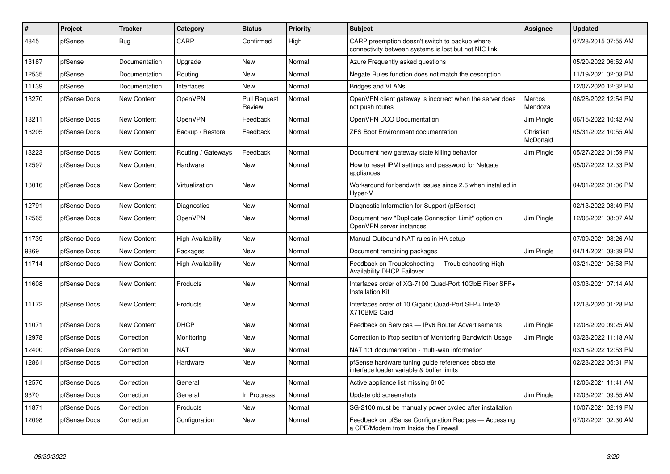| #     | Project      | <b>Tracker</b>     | Category                 | <b>Status</b>                 | <b>Priority</b> | <b>Subject</b>                                                                                          | Assignee              | <b>Updated</b>      |
|-------|--------------|--------------------|--------------------------|-------------------------------|-----------------|---------------------------------------------------------------------------------------------------------|-----------------------|---------------------|
| 4845  | pfSense      | <b>Bug</b>         | CARP                     | Confirmed                     | High            | CARP preemption doesn't switch to backup where<br>connectivity between systems is lost but not NIC link |                       | 07/28/2015 07:55 AM |
| 13187 | pfSense      | Documentation      | Upgrade                  | <b>New</b>                    | Normal          | Azure Frequently asked questions                                                                        |                       | 05/20/2022 06:52 AM |
| 12535 | pfSense      | Documentation      | Routing                  | New                           | Normal          | Negate Rules function does not match the description                                                    |                       | 11/19/2021 02:03 PM |
| 11139 | pfSense      | Documentation      | Interfaces               | <b>New</b>                    | Normal          | <b>Bridges and VLANs</b>                                                                                |                       | 12/07/2020 12:32 PM |
| 13270 | pfSense Docs | <b>New Content</b> | OpenVPN                  | <b>Pull Request</b><br>Review | Normal          | OpenVPN client gateway is incorrect when the server does<br>not push routes                             | Marcos<br>Mendoza     | 06/26/2022 12:54 PM |
| 13211 | pfSense Docs | <b>New Content</b> | OpenVPN                  | Feedback                      | Normal          | OpenVPN DCO Documentation                                                                               | Jim Pingle            | 06/15/2022 10:42 AM |
| 13205 | pfSense Docs | <b>New Content</b> | Backup / Restore         | Feedback                      | Normal          | <b>ZFS Boot Environment documentation</b>                                                               | Christian<br>McDonald | 05/31/2022 10:55 AM |
| 13223 | pfSense Docs | New Content        | Routing / Gateways       | Feedback                      | Normal          | Document new gateway state killing behavior                                                             | Jim Pingle            | 05/27/2022 01:59 PM |
| 12597 | pfSense Docs | New Content        | Hardware                 | New                           | Normal          | How to reset IPMI settings and password for Netgate<br>appliances                                       |                       | 05/07/2022 12:33 PM |
| 13016 | pfSense Docs | New Content        | Virtualization           | New                           | Normal          | Workaround for bandwith issues since 2.6 when installed in<br>Hyper-V                                   |                       | 04/01/2022 01:06 PM |
| 12791 | pfSense Docs | New Content        | Diagnostics              | New                           | Normal          | Diagnostic Information for Support (pfSense)                                                            |                       | 02/13/2022 08:49 PM |
| 12565 | pfSense Docs | New Content        | OpenVPN                  | New                           | Normal          | Document new "Duplicate Connection Limit" option on<br>OpenVPN server instances                         | Jim Pingle            | 12/06/2021 08:07 AM |
| 11739 | pfSense Docs | New Content        | <b>High Availability</b> | New                           | Normal          | Manual Outbound NAT rules in HA setup                                                                   |                       | 07/09/2021 08:26 AM |
| 9369  | pfSense Docs | New Content        | Packages                 | New                           | Normal          | Document remaining packages                                                                             | Jim Pingle            | 04/14/2021 03:39 PM |
| 11714 | pfSense Docs | <b>New Content</b> | <b>High Availability</b> | New                           | Normal          | Feedback on Troubleshooting - Troubleshooting High<br><b>Availability DHCP Failover</b>                 |                       | 03/21/2021 05:58 PM |
| 11608 | pfSense Docs | New Content        | Products                 | <b>New</b>                    | Normal          | Interfaces order of XG-7100 Quad-Port 10GbE Fiber SFP+<br><b>Installation Kit</b>                       |                       | 03/03/2021 07:14 AM |
| 11172 | pfSense Docs | New Content        | Products                 | New                           | Normal          | Interfaces order of 10 Gigabit Quad-Port SFP+ Intel®<br>X710BM2 Card                                    |                       | 12/18/2020 01:28 PM |
| 11071 | pfSense Docs | <b>New Content</b> | <b>DHCP</b>              | <b>New</b>                    | Normal          | Feedback on Services - IPv6 Router Advertisements                                                       | Jim Pingle            | 12/08/2020 09:25 AM |
| 12978 | pfSense Docs | Correction         | Monitoring               | <b>New</b>                    | Normal          | Correction to iftop section of Monitoring Bandwidth Usage                                               | Jim Pingle            | 03/23/2022 11:18 AM |
| 12400 | pfSense Docs | Correction         | <b>NAT</b>               | New                           | Normal          | NAT 1:1 documentation - multi-wan information                                                           |                       | 03/13/2022 12:53 PM |
| 12861 | pfSense Docs | Correction         | Hardware                 | <b>New</b>                    | Normal          | pfSense hardware tuning guide references obsolete<br>interface loader variable & buffer limits          |                       | 02/23/2022 05:31 PM |
| 12570 | pfSense Docs | Correction         | General                  | <b>New</b>                    | Normal          | Active appliance list missing 6100                                                                      |                       | 12/06/2021 11:41 AM |
| 9370  | pfSense Docs | Correction         | General                  | In Progress                   | Normal          | Update old screenshots                                                                                  | Jim Pingle            | 12/03/2021 09:55 AM |
| 11871 | pfSense Docs | Correction         | Products                 | New                           | Normal          | SG-2100 must be manually power cycled after installation                                                |                       | 10/07/2021 02:19 PM |
| 12098 | pfSense Docs | Correction         | Configuration            | New                           | Normal          | Feedback on pfSense Configuration Recipes - Accessing<br>a CPE/Modem from Inside the Firewall           |                       | 07/02/2021 02:30 AM |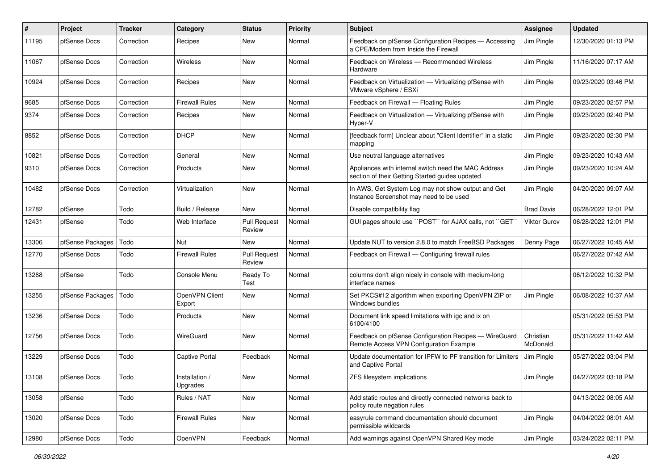| #     | Project          | <b>Tracker</b> | Category                   | <b>Status</b>                 | <b>Priority</b> | <b>Subject</b>                                                                                          | <b>Assignee</b>       | <b>Updated</b>      |
|-------|------------------|----------------|----------------------------|-------------------------------|-----------------|---------------------------------------------------------------------------------------------------------|-----------------------|---------------------|
| 11195 | pfSense Docs     | Correction     | Recipes                    | New                           | Normal          | Feedback on pfSense Configuration Recipes - Accessing<br>a CPE/Modem from Inside the Firewall           | Jim Pingle            | 12/30/2020 01:13 PM |
| 11067 | pfSense Docs     | Correction     | Wireless                   | New                           | Normal          | Feedback on Wireless — Recommended Wireless<br>Hardware                                                 | Jim Pingle            | 11/16/2020 07:17 AM |
| 10924 | pfSense Docs     | Correction     | Recipes                    | <b>New</b>                    | Normal          | Feedback on Virtualization - Virtualizing pfSense with<br>VMware vSphere / ESXi                         | Jim Pingle            | 09/23/2020 03:46 PM |
| 9685  | pfSense Docs     | Correction     | <b>Firewall Rules</b>      | <b>New</b>                    | Normal          | Feedback on Firewall - Floating Rules                                                                   | Jim Pingle            | 09/23/2020 02:57 PM |
| 9374  | pfSense Docs     | Correction     | Recipes                    | New                           | Normal          | Feedback on Virtualization - Virtualizing pfSense with<br>Hyper-V                                       | Jim Pingle            | 09/23/2020 02:40 PM |
| 8852  | pfSense Docs     | Correction     | <b>DHCP</b>                | New                           | Normal          | [feedback form] Unclear about "Client Identifier" in a static<br>mapping                                | Jim Pingle            | 09/23/2020 02:30 PM |
| 10821 | pfSense Docs     | Correction     | General                    | New                           | Normal          | Use neutral language alternatives                                                                       | Jim Pingle            | 09/23/2020 10:43 AM |
| 9310  | pfSense Docs     | Correction     | Products                   | New                           | Normal          | Appliances with internal switch need the MAC Address<br>section of their Getting Started guides updated | Jim Pingle            | 09/23/2020 10:24 AM |
| 10482 | pfSense Docs     | Correction     | Virtualization             | New                           | Normal          | In AWS, Get System Log may not show output and Get<br>Instance Screenshot may need to be used           | Jim Pingle            | 04/20/2020 09:07 AM |
| 12782 | pfSense          | Todo           | Build / Release            | <b>New</b>                    | Normal          | Disable compatibility flag                                                                              | <b>Brad Davis</b>     | 06/28/2022 12:01 PM |
| 12431 | pfSense          | Todo           | Web Interface              | <b>Pull Request</b><br>Review | Normal          | GUI pages should use "POST" for AJAX calls, not "GET"                                                   | <b>Viktor Gurov</b>   | 06/28/2022 12:01 PM |
| 13306 | pfSense Packages | Todo           | Nut                        | <b>New</b>                    | Normal          | Update NUT to version 2.8.0 to match FreeBSD Packages                                                   | Denny Page            | 06/27/2022 10:45 AM |
| 12770 | pfSense Docs     | Todo           | <b>Firewall Rules</b>      | <b>Pull Request</b><br>Review | Normal          | Feedback on Firewall - Configuring firewall rules                                                       |                       | 06/27/2022 07:42 AM |
| 13268 | pfSense          | Todo           | Console Menu               | Ready To<br>Test              | Normal          | columns don't align nicely in console with medium-long<br>interface names                               |                       | 06/12/2022 10:32 PM |
| 13255 | pfSense Packages | Todo           | OpenVPN Client<br>Export   | New                           | Normal          | Set PKCS#12 algorithm when exporting OpenVPN ZIP or<br>Windows bundles                                  | Jim Pingle            | 06/08/2022 10:37 AM |
| 13236 | pfSense Docs     | Todo           | Products                   | <b>New</b>                    | Normal          | Document link speed limitations with igc and ix on<br>6100/4100                                         |                       | 05/31/2022 05:53 PM |
| 12756 | pfSense Docs     | Todo           | WireGuard                  | New                           | Normal          | Feedback on pfSense Configuration Recipes - WireGuard<br>Remote Access VPN Configuration Example        | Christian<br>McDonald | 05/31/2022 11:42 AM |
| 13229 | pfSense Docs     | Todo           | <b>Captive Portal</b>      | Feedback                      | Normal          | Update documentation for IPFW to PF transition for Limiters<br>and Captive Portal                       | Jim Pingle            | 05/27/2022 03:04 PM |
| 13108 | pfSense Docs     | Todo           | Installation /<br>Upgrades | New                           | Normal          | ZFS filesystem implications                                                                             | Jim Pingle            | 04/27/2022 03:18 PM |
| 13058 | pfSense          | Todo           | Rules / NAT                | New                           | Normal          | Add static routes and directly connected networks back to<br>policy route negation rules                |                       | 04/13/2022 08:05 AM |
| 13020 | pfSense Docs     | Todo           | <b>Firewall Rules</b>      | New                           | Normal          | easyrule command documentation should document<br>permissible wildcards                                 | Jim Pingle            | 04/04/2022 08:01 AM |
| 12980 | pfSense Docs     | Todo           | OpenVPN                    | Feedback                      | Normal          | Add warnings against OpenVPN Shared Key mode                                                            | Jim Pingle            | 03/24/2022 02:11 PM |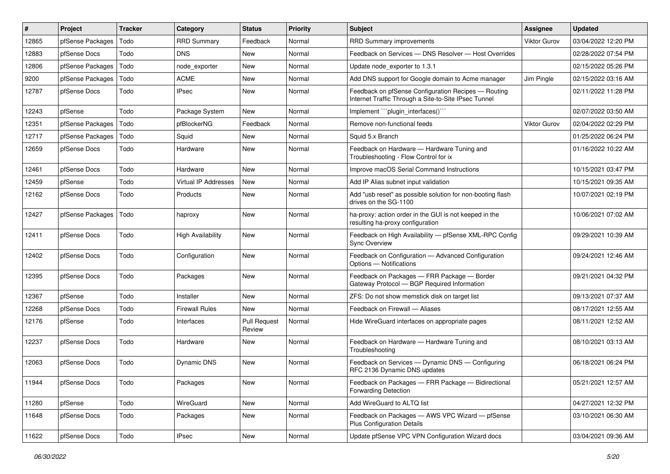| $\vert$ # | Project          | <b>Tracker</b> | Category                    | <b>Status</b>                 | Priority | <b>Subject</b>                                                                                              | Assignee            | <b>Updated</b>      |
|-----------|------------------|----------------|-----------------------------|-------------------------------|----------|-------------------------------------------------------------------------------------------------------------|---------------------|---------------------|
| 12865     | pfSense Packages | Todo           | <b>RRD Summary</b>          | Feedback                      | Normal   | <b>RRD Summary improvements</b>                                                                             | <b>Viktor Gurov</b> | 03/04/2022 12:20 PM |
| 12883     | pfSense Docs     | Todo           | <b>DNS</b>                  | <b>New</b>                    | Normal   | Feedback on Services - DNS Resolver - Host Overrides                                                        |                     | 02/28/2022 07:54 PM |
| 12806     | pfSense Packages | Todo           | node_exporter               | New                           | Normal   | Update node exporter to 1.3.1                                                                               |                     | 02/15/2022 05:26 PM |
| 9200      | pfSense Packages | Todo           | <b>ACME</b>                 | New                           | Normal   | Add DNS support for Google domain to Acme manager                                                           | Jim Pingle          | 02/15/2022 03:16 AM |
| 12787     | pfSense Docs     | Todo           | <b>IPsec</b>                | <b>New</b>                    | Normal   | Feedback on pfSense Configuration Recipes - Routing<br>Internet Traffic Through a Site-to-Site IPsec Tunnel |                     | 02/11/2022 11:28 PM |
| 12243     | pfSense          | Todo           | Package System              | <b>New</b>                    | Normal   | Implement "``plugin_interfaces()`"                                                                          |                     | 02/07/2022 03:50 AM |
| 12351     | pfSense Packages | Todo           | pfBlockerNG                 | Feedback                      | Normal   | Remove non-functional feeds                                                                                 | <b>Viktor Gurov</b> | 02/04/2022 02:29 PM |
| 12717     | pfSense Packages | Todo           | Squid                       | New                           | Normal   | Squid 5.x Branch                                                                                            |                     | 01/25/2022 06:24 PM |
| 12659     | pfSense Docs     | Todo           | Hardware                    | New                           | Normal   | Feedback on Hardware - Hardware Tuning and<br>Troubleshooting - Flow Control for ix                         |                     | 01/16/2022 10:22 AM |
| 12461     | pfSense Docs     | Todo           | Hardware                    | New                           | Normal   | Improve macOS Serial Command Instructions                                                                   |                     | 10/15/2021 03:47 PM |
| 12459     | pfSense          | Todo           | <b>Virtual IP Addresses</b> | <b>New</b>                    | Normal   | Add IP Alias subnet input validation                                                                        |                     | 10/15/2021 09:35 AM |
| 12162     | pfSense Docs     | Todo           | Products                    | New                           | Normal   | Add "usb reset" as possible solution for non-booting flash<br>drives on the SG-1100                         |                     | 10/07/2021 02:19 PM |
| 12427     | pfSense Packages | Todo           | haproxy                     | <b>New</b>                    | Normal   | ha-proxy: action order in the GUI is not keeped in the<br>resulting ha-proxy configuration                  |                     | 10/06/2021 07:02 AM |
| 12411     | pfSense Docs     | Todo           | <b>High Availability</b>    | <b>New</b>                    | Normal   | Feedback on High Availability - pfSense XML-RPC Config<br><b>Sync Overview</b>                              |                     | 09/29/2021 10:39 AM |
| 12402     | pfSense Docs     | Todo           | Configuration               | <b>New</b>                    | Normal   | Feedback on Configuration - Advanced Configuration<br>Options - Notifications                               |                     | 09/24/2021 12:46 AM |
| 12395     | pfSense Docs     | Todo           | Packages                    | New                           | Normal   | Feedback on Packages - FRR Package - Border<br>Gateway Protocol - BGP Required Information                  |                     | 09/21/2021 04:32 PM |
| 12367     | pfSense          | Todo           | Installer                   | <b>New</b>                    | Normal   | ZFS: Do not show memstick disk on target list                                                               |                     | 09/13/2021 07:37 AM |
| 12268     | pfSense Docs     | Todo           | <b>Firewall Rules</b>       | New                           | Normal   | Feedback on Firewall - Aliases                                                                              |                     | 08/17/2021 12:55 AM |
| 12176     | pfSense          | Todo           | Interfaces                  | <b>Pull Request</b><br>Review | Normal   | Hide WireGuard interfaces on appropriate pages                                                              |                     | 08/11/2021 12:52 AM |
| 12237     | pfSense Docs     | Todo           | Hardware                    | <b>New</b>                    | Normal   | Feedback on Hardware - Hardware Tuning and<br>Troubleshooting                                               |                     | 08/10/2021 03:13 AM |
| 12063     | pfSense Docs     | Todo           | Dynamic DNS                 | <b>New</b>                    | Normal   | Feedback on Services - Dynamic DNS - Configuring<br>RFC 2136 Dynamic DNS updates                            |                     | 06/18/2021 06:24 PM |
| 11944     | pfSense Docs     | Todo           | Packages                    | New                           | Normal   | Feedback on Packages - FRR Package - Bidirectional<br><b>Forwarding Detection</b>                           |                     | 05/21/2021 12:57 AM |
| 11280     | pfSense          | Todo           | WireGuard                   | New                           | Normal   | Add WireGuard to ALTQ list                                                                                  |                     | 04/27/2021 12:32 PM |
| 11648     | pfSense Docs     | Todo           | Packages                    | New                           | Normal   | Feedback on Packages - AWS VPC Wizard - pfSense<br><b>Plus Configuration Details</b>                        |                     | 03/10/2021 06:30 AM |
| 11622     | pfSense Docs     | Todo           | <b>IPsec</b>                | New                           | Normal   | Update pfSense VPC VPN Configuration Wizard docs                                                            |                     | 03/04/2021 09:36 AM |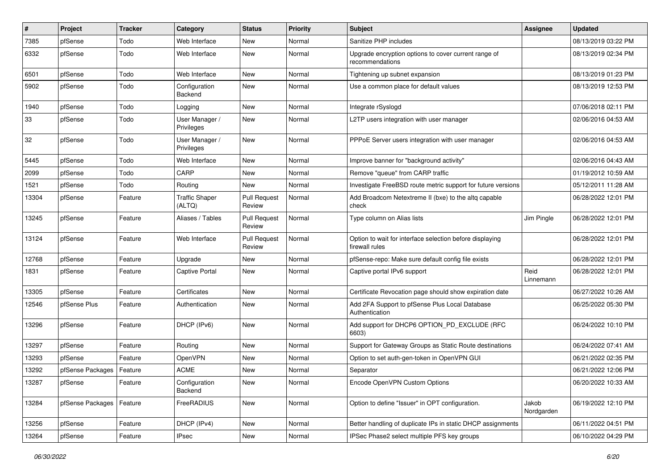| ∦     | Project                    | <b>Tracker</b> | Category                        | <b>Status</b>                 | <b>Priority</b> | <b>Subject</b>                                                             | Assignee            | <b>Updated</b>      |
|-------|----------------------------|----------------|---------------------------------|-------------------------------|-----------------|----------------------------------------------------------------------------|---------------------|---------------------|
| 7385  | pfSense                    | Todo           | Web Interface                   | New                           | Normal          | Sanitize PHP includes                                                      |                     | 08/13/2019 03:22 PM |
| 6332  | pfSense                    | Todo           | Web Interface                   | <b>New</b>                    | Normal          | Upgrade encryption options to cover current range of<br>recommendations    |                     | 08/13/2019 02:34 PM |
| 6501  | pfSense                    | Todo           | Web Interface                   | <b>New</b>                    | Normal          | Tightening up subnet expansion                                             |                     | 08/13/2019 01:23 PM |
| 5902  | pfSense                    | Todo           | Configuration<br>Backend        | <b>New</b>                    | Normal          | Use a common place for default values                                      |                     | 08/13/2019 12:53 PM |
| 1940  | pfSense                    | Todo           | Logging                         | New                           | Normal          | Integrate rSyslogd                                                         |                     | 07/06/2018 02:11 PM |
| 33    | pfSense                    | Todo           | User Manager /<br>Privileges    | New                           | Normal          | L2TP users integration with user manager                                   |                     | 02/06/2016 04:53 AM |
| 32    | pfSense                    | Todo           | User Manager /<br>Privileges    | <b>New</b>                    | Normal          | PPPoE Server users integration with user manager                           |                     | 02/06/2016 04:53 AM |
| 5445  | pfSense                    | Todo           | Web Interface                   | New                           | Normal          | Improve banner for "background activity"                                   |                     | 02/06/2016 04:43 AM |
| 2099  | pfSense                    | Todo           | CARP                            | <b>New</b>                    | Normal          | Remove "queue" from CARP traffic                                           |                     | 01/19/2012 10:59 AM |
| 1521  | pfSense                    | Todo           | Routing                         | New                           | Normal          | Investigate FreeBSD route metric support for future versions               |                     | 05/12/2011 11:28 AM |
| 13304 | pfSense                    | Feature        | <b>Traffic Shaper</b><br>(ALTQ) | <b>Pull Request</b><br>Review | Normal          | Add Broadcom Netextreme II (bxe) to the altg capable<br>check              |                     | 06/28/2022 12:01 PM |
| 13245 | pfSense                    | Feature        | Aliases / Tables                | <b>Pull Request</b><br>Review | Normal          | Type column on Alias lists                                                 | Jim Pingle          | 06/28/2022 12:01 PM |
| 13124 | pfSense                    | Feature        | Web Interface                   | <b>Pull Request</b><br>Review | Normal          | Option to wait for interface selection before displaying<br>firewall rules |                     | 06/28/2022 12:01 PM |
| 12768 | pfSense                    | Feature        | Upgrade                         | <b>New</b>                    | Normal          | pfSense-repo: Make sure default config file exists                         |                     | 06/28/2022 12:01 PM |
| 1831  | pfSense                    | Feature        | <b>Captive Portal</b>           | New                           | Normal          | Captive portal IPv6 support                                                | Reid<br>Linnemann   | 06/28/2022 12:01 PM |
| 13305 | pfSense                    | Feature        | Certificates                    | <b>New</b>                    | Normal          | Certificate Revocation page should show expiration date                    |                     | 06/27/2022 10:26 AM |
| 12546 | pfSense Plus               | Feature        | Authentication                  | New                           | Normal          | Add 2FA Support to pfSense Plus Local Database<br>Authentication           |                     | 06/25/2022 05:30 PM |
| 13296 | pfSense                    | Feature        | DHCP (IPv6)                     | New                           | Normal          | Add support for DHCP6 OPTION_PD_EXCLUDE (RFC<br>6603)                      |                     | 06/24/2022 10:10 PM |
| 13297 | pfSense                    | Feature        | Routing                         | <b>New</b>                    | Normal          | Support for Gateway Groups as Static Route destinations                    |                     | 06/24/2022 07:41 AM |
| 13293 | pfSense                    | Feature        | OpenVPN                         | New                           | Normal          | Option to set auth-gen-token in OpenVPN GUI                                |                     | 06/21/2022 02:35 PM |
| 13292 | pfSense Packages   Feature |                | <b>ACME</b>                     | New                           | Normal          | Separator                                                                  |                     | 06/21/2022 12:06 PM |
| 13287 | pfSense                    | Feature        | Configuration<br>Backend        | New                           | Normal          | Encode OpenVPN Custom Options                                              |                     | 06/20/2022 10:33 AM |
| 13284 | pfSense Packages           | Feature        | FreeRADIUS                      | New                           | Normal          | Option to define "Issuer" in OPT configuration.                            | Jakob<br>Nordgarden | 06/19/2022 12:10 PM |
| 13256 | pfSense                    | Feature        | DHCP (IPv4)                     | New                           | Normal          | Better handling of duplicate IPs in static DHCP assignments                |                     | 06/11/2022 04:51 PM |
| 13264 | pfSense                    | Feature        | <b>IPsec</b>                    | New                           | Normal          | IPSec Phase2 select multiple PFS key groups                                |                     | 06/10/2022 04:29 PM |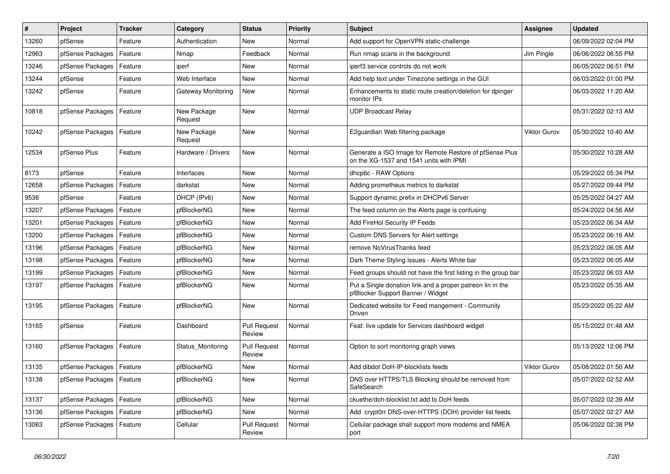| #     | Project          | <b>Tracker</b> | Category               | <b>Status</b>                 | <b>Priority</b> | <b>Subject</b>                                                                                     | Assignee            | <b>Updated</b>      |
|-------|------------------|----------------|------------------------|-------------------------------|-----------------|----------------------------------------------------------------------------------------------------|---------------------|---------------------|
| 13260 | pfSense          | Feature        | Authentication         | <b>New</b>                    | Normal          | Add support for OpenVPN static-challenge                                                           |                     | 06/09/2022 02:04 PM |
| 12963 | pfSense Packages | Feature        | Nmap                   | Feedback                      | Normal          | Run nmap scans in the background                                                                   | Jim Pingle          | 06/06/2022 06:55 PM |
| 13246 | pfSense Packages | Feature        | iperf                  | New                           | Normal          | iperf3 service controls do not work                                                                |                     | 06/05/2022 06:51 PM |
| 13244 | pfSense          | Feature        | Web Interface          | New                           | Normal          | Add help text under Timezone settings in the GUI                                                   |                     | 06/03/2022 01:00 PM |
| 13242 | pfSense          | Feature        | Gateway Monitoring     | New                           | Normal          | Enhancements to static route creation/deletion for dpinger<br>monitor IPs                          |                     | 06/03/2022 11:20 AM |
| 10818 | pfSense Packages | Feature        | New Package<br>Request | New                           | Normal          | <b>UDP Broadcast Relay</b>                                                                         |                     | 05/31/2022 02:13 AM |
| 10242 | pfSense Packages | Feature        | New Package<br>Request | New                           | Normal          | E2guardian Web filtering package                                                                   | <b>Viktor Gurov</b> | 05/30/2022 10:40 AM |
| 12534 | pfSense Plus     | Feature        | Hardware / Drivers     | New                           | Normal          | Generate a ISO Image for Remote Restore of pfSense Plus<br>on the XG-1537 and 1541 units with IPMI |                     | 05/30/2022 10:28 AM |
| 8173  | pfSense          | Feature        | Interfaces             | New                           | Normal          | dhcp6c - RAW Options                                                                               |                     | 05/29/2022 05:34 PM |
| 12658 | pfSense Packages | Feature        | darkstat               | New                           | Normal          | Adding prometheus metrics to darkstat                                                              |                     | 05/27/2022 09:44 PM |
| 9536  | pfSense          | Feature        | DHCP (IPv6)            | New                           | Normal          | Support dynamic prefix in DHCPv6 Server                                                            |                     | 05/25/2022 04:27 AM |
| 13207 | pfSense Packages | Feature        | pfBlockerNG            | New                           | Normal          | The feed column on the Alerts page is confusing                                                    |                     | 05/24/2022 04:56 AM |
| 13201 | pfSense Packages | Feature        | pfBlockerNG            | New                           | Normal          | Add FireHol Security IP Feeds                                                                      |                     | 05/23/2022 06:34 AM |
| 13200 | pfSense Packages | Feature        | pfBlockerNG            | New                           | Normal          | Custom DNS Servers for Alert settings                                                              |                     | 05/23/2022 06:16 AM |
| 13196 | pfSense Packages | Feature        | pfBlockerNG            | New                           | Normal          | remove NoVirusThanks feed                                                                          |                     | 05/23/2022 06:05 AM |
| 13198 | pfSense Packages | Feature        | pfBlockerNG            | New                           | Normal          | Dark Theme Styling issues - Alerts White bar                                                       |                     | 05/23/2022 06:05 AM |
| 13199 | pfSense Packages | Feature        | pfBlockerNG            | New                           | Normal          | Feed groups should not have the first listing in the group bar                                     |                     | 05/23/2022 06:03 AM |
| 13197 | pfSense Packages | Feature        | pfBlockerNG            | <b>New</b>                    | Normal          | Put a Single donation link and a proper patreon lin in the<br>pfBlocker Support Banner / Widget    |                     | 05/23/2022 05:35 AM |
| 13195 | pfSense Packages | Feature        | pfBlockerNG            | <b>New</b>                    | Normal          | Dedicated website for Feed mangement - Community<br>Driven                                         |                     | 05/23/2022 05:22 AM |
| 13165 | pfSense          | Feature        | Dashboard              | <b>Pull Request</b><br>Review | Normal          | Feat: live update for Services dashboard widget                                                    |                     | 05/15/2022 01:48 AM |
| 13160 | pfSense Packages | Feature        | Status_Monitoring      | <b>Pull Request</b><br>Review | Normal          | Option to sort monitoring graph views                                                              |                     | 05/13/2022 12:06 PM |
| 13135 | pfSense Packages | Feature        | pfBlockerNG            | New                           | Normal          | Add dibdot DoH-IP-blocklists feeds                                                                 | <b>Viktor Gurov</b> | 05/08/2022 01:50 AM |
| 13138 | pfSense Packages | Feature        | pfBlockerNG            | New                           | Normal          | DNS over HTTPS/TLS Blocking should be removed from<br>SafeSearch                                   |                     | 05/07/2022 02:52 AM |
| 13137 | pfSense Packages | Feature        | pfBlockerNG            | New                           | Normal          | ckuethe/doh-blocklist.txt add to DoH feeds                                                         |                     | 05/07/2022 02:39 AM |
| 13136 | pfSense Packages | Feature        | pfBlockerNG            | New                           | Normal          | Add crypt0rr DNS-over-HTTPS (DOH) provider list feeds                                              |                     | 05/07/2022 02:27 AM |
| 13063 | pfSense Packages | Feature        | Cellular               | <b>Pull Request</b><br>Review | Normal          | Cellular package shall support more modems and NMEA<br>port                                        |                     | 05/06/2022 02:38 PM |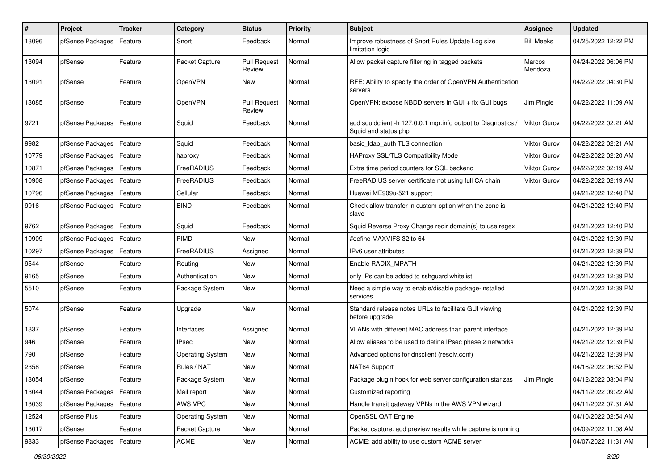| #     | Project          | <b>Tracker</b> | Category                | <b>Status</b>                 | <b>Priority</b> | <b>Subject</b>                                                                        | <b>Assignee</b>     | <b>Updated</b>      |
|-------|------------------|----------------|-------------------------|-------------------------------|-----------------|---------------------------------------------------------------------------------------|---------------------|---------------------|
| 13096 | pfSense Packages | Feature        | Snort                   | Feedback                      | Normal          | Improve robustness of Snort Rules Update Log size<br>limitation logic                 | <b>Bill Meeks</b>   | 04/25/2022 12:22 PM |
| 13094 | pfSense          | Feature        | Packet Capture          | <b>Pull Request</b><br>Review | Normal          | Allow packet capture filtering in tagged packets                                      | Marcos<br>Mendoza   | 04/24/2022 06:06 PM |
| 13091 | pfSense          | Feature        | OpenVPN                 | <b>New</b>                    | Normal          | RFE: Ability to specify the order of OpenVPN Authentication<br>servers                |                     | 04/22/2022 04:30 PM |
| 13085 | pfSense          | Feature        | OpenVPN                 | <b>Pull Request</b><br>Review | Normal          | OpenVPN: expose NBDD servers in GUI + fix GUI bugs                                    | Jim Pingle          | 04/22/2022 11:09 AM |
| 9721  | pfSense Packages | Feature        | Squid                   | Feedback                      | Normal          | add squidclient -h 127.0.0.1 mgr:info output to Diagnostics /<br>Squid and status.php | Viktor Gurov        | 04/22/2022 02:21 AM |
| 9982  | pfSense Packages | Feature        | Squid                   | Feedback                      | Normal          | basic Idap auth TLS connection                                                        | Viktor Gurov        | 04/22/2022 02:21 AM |
| 10779 | pfSense Packages | Feature        | haproxy                 | Feedback                      | Normal          | HAProxy SSL/TLS Compatibility Mode                                                    | <b>Viktor Gurov</b> | 04/22/2022 02:20 AM |
| 10871 | pfSense Packages | Feature        | FreeRADIUS              | Feedback                      | Normal          | Extra time period counters for SQL backend                                            | <b>Viktor Gurov</b> | 04/22/2022 02:19 AM |
| 10908 | pfSense Packages | Feature        | FreeRADIUS              | Feedback                      | Normal          | FreeRADIUS server certificate not using full CA chain                                 | Viktor Gurov        | 04/22/2022 02:19 AM |
| 10796 | pfSense Packages | Feature        | Cellular                | Feedback                      | Normal          | Huawei ME909u-521 support                                                             |                     | 04/21/2022 12:40 PM |
| 9916  | pfSense Packages | Feature        | <b>BIND</b>             | Feedback                      | Normal          | Check allow-transfer in custom option when the zone is<br>slave                       |                     | 04/21/2022 12:40 PM |
| 9762  | pfSense Packages | Feature        | Squid                   | Feedback                      | Normal          | Squid Reverse Proxy Change redir domain(s) to use regex                               |                     | 04/21/2022 12:40 PM |
| 10909 | pfSense Packages | Feature        | <b>PIMD</b>             | New                           | Normal          | #define MAXVIFS 32 to 64                                                              |                     | 04/21/2022 12:39 PM |
| 10297 | pfSense Packages | Feature        | FreeRADIUS              | Assigned                      | Normal          | IPv6 user attributes                                                                  |                     | 04/21/2022 12:39 PM |
| 9544  | pfSense          | Feature        | Routing                 | <b>New</b>                    | Normal          | Enable RADIX MPATH                                                                    |                     | 04/21/2022 12:39 PM |
| 9165  | pfSense          | Feature        | Authentication          | New                           | Normal          | only IPs can be added to sshguard whitelist                                           |                     | 04/21/2022 12:39 PM |
| 5510  | pfSense          | Feature        | Package System          | New                           | Normal          | Need a simple way to enable/disable package-installed<br>services                     |                     | 04/21/2022 12:39 PM |
| 5074  | pfSense          | Feature        | Upgrade                 | New                           | Normal          | Standard release notes URLs to facilitate GUI viewing<br>before upgrade               |                     | 04/21/2022 12:39 PM |
| 1337  | pfSense          | Feature        | Interfaces              | Assigned                      | Normal          | VLANs with different MAC address than parent interface                                |                     | 04/21/2022 12:39 PM |
| 946   | pfSense          | Feature        | <b>IPsec</b>            | New                           | Normal          | Allow aliases to be used to define IPsec phase 2 networks                             |                     | 04/21/2022 12:39 PM |
| 790   | pfSense          | Feature        | <b>Operating System</b> | New                           | Normal          | Advanced options for dnsclient (resolv.conf)                                          |                     | 04/21/2022 12:39 PM |
| 2358  | pfSense          | Feature        | Rules / NAT             | New                           | Normal          | NAT64 Support                                                                         |                     | 04/16/2022 06:52 PM |
| 13054 | pfSense          | Feature        | Package System          | New                           | Normal          | Package plugin hook for web server configuration stanzas                              | Jim Pingle          | 04/12/2022 03:04 PM |
| 13044 | pfSense Packages | Feature        | Mail report             | New                           | Normal          | Customized reporting                                                                  |                     | 04/11/2022 09:22 AM |
| 13039 | pfSense Packages | Feature        | AWS VPC                 | New                           | Normal          | Handle transit gateway VPNs in the AWS VPN wizard                                     |                     | 04/11/2022 07:31 AM |
| 12524 | pfSense Plus     | Feature        | <b>Operating System</b> | New                           | Normal          | OpenSSL QAT Engine                                                                    |                     | 04/10/2022 02:54 AM |
| 13017 | pfSense          | Feature        | Packet Capture          | New                           | Normal          | Packet capture: add preview results while capture is running                          |                     | 04/09/2022 11:08 AM |
| 9833  | pfSense Packages | Feature        | ACME                    | New                           | Normal          | ACME: add ability to use custom ACME server                                           |                     | 04/07/2022 11:31 AM |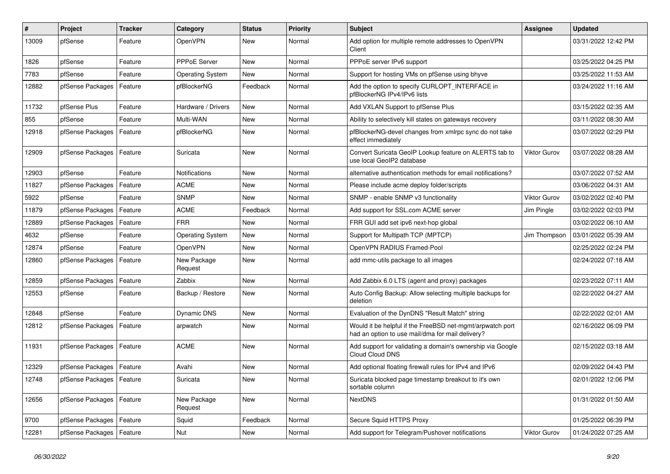| $\overline{\boldsymbol{H}}$ | Project                    | <b>Tracker</b> | Category                | <b>Status</b> | <b>Priority</b> | <b>Subject</b>                                                                                                | Assignee            | <b>Updated</b>      |
|-----------------------------|----------------------------|----------------|-------------------------|---------------|-----------------|---------------------------------------------------------------------------------------------------------------|---------------------|---------------------|
| 13009                       | pfSense                    | Feature        | OpenVPN                 | <b>New</b>    | Normal          | Add option for multiple remote addresses to OpenVPN<br>Client                                                 |                     | 03/31/2022 12:42 PM |
| 1826                        | pfSense                    | Feature        | <b>PPPoE Server</b>     | <b>New</b>    | Normal          | PPPoE server IPv6 support                                                                                     |                     | 03/25/2022 04:25 PM |
| 7783                        | pfSense                    | Feature        | <b>Operating System</b> | <b>New</b>    | Normal          | Support for hosting VMs on pfSense using bhyve                                                                |                     | 03/25/2022 11:53 AM |
| 12882                       | pfSense Packages           | Feature        | pfBlockerNG             | Feedback      | Normal          | Add the option to specify CURLOPT INTERFACE in<br>pfBlockerNG IPv4/IPv6 lists                                 |                     | 03/24/2022 11:16 AM |
| 11732                       | pfSense Plus               | Feature        | Hardware / Drivers      | <b>New</b>    | Normal          | Add VXLAN Support to pfSense Plus                                                                             |                     | 03/15/2022 02:35 AM |
| 855                         | pfSense                    | Feature        | Multi-WAN               | <b>New</b>    | Normal          | Ability to selectively kill states on gateways recovery                                                       |                     | 03/11/2022 08:30 AM |
| 12918                       | pfSense Packages           | Feature        | pfBlockerNG             | New           | Normal          | pfBlockerNG-devel changes from xmlrpc sync do not take<br>effect immediately                                  |                     | 03/07/2022 02:29 PM |
| 12909                       | pfSense Packages           | Feature        | Suricata                | <b>New</b>    | Normal          | Convert Suricata GeoIP Lookup feature on ALERTS tab to<br>use local GeoIP2 database                           | <b>Viktor Gurov</b> | 03/07/2022 08:28 AM |
| 12903                       | pfSense                    | Feature        | <b>Notifications</b>    | <b>New</b>    | Normal          | alternative authentication methods for email notifications?                                                   |                     | 03/07/2022 07:52 AM |
| 11827                       | pfSense Packages           | Feature        | <b>ACME</b>             | New           | Normal          | Please include acme deploy folder/scripts                                                                     |                     | 03/06/2022 04:31 AM |
| 5922                        | pfSense                    | Feature        | <b>SNMP</b>             | <b>New</b>    | Normal          | SNMP - enable SNMP v3 functionality                                                                           | <b>Viktor Gurov</b> | 03/02/2022 02:40 PM |
| 11879                       | pfSense Packages           | Feature        | <b>ACME</b>             | Feedback      | Normal          | Add support for SSL.com ACME server                                                                           | Jim Pingle          | 03/02/2022 02:03 PM |
| 12889                       | pfSense Packages           | Feature        | <b>FRR</b>              | New           | Normal          | FRR GUI add set ipv6 next-hop global                                                                          |                     | 03/02/2022 06:10 AM |
| 4632                        | pfSense                    | Feature        | <b>Operating System</b> | New           | Normal          | Support for Multipath TCP (MPTCP)                                                                             | Jim Thompson        | 03/01/2022 05:39 AM |
| 12874                       | pfSense                    | Feature        | OpenVPN                 | <b>New</b>    | Normal          | OpenVPN RADIUS Framed-Pool                                                                                    |                     | 02/25/2022 02:24 PM |
| 12860                       | pfSense Packages           | Feature        | New Package<br>Request  | New           | Normal          | add mmc-utils package to all images                                                                           |                     | 02/24/2022 07:18 AM |
| 12859                       | pfSense Packages           | Feature        | Zabbix                  | New           | Normal          | Add Zabbix 6.0 LTS (agent and proxy) packages                                                                 |                     | 02/23/2022 07:11 AM |
| 12553                       | pfSense                    | Feature        | Backup / Restore        | New           | Normal          | Auto Config Backup: Allow selecting multiple backups for<br>deletion                                          |                     | 02/22/2022 04:27 AM |
| 12848                       | pfSense                    | Feature        | Dynamic DNS             | <b>New</b>    | Normal          | Evaluation of the DynDNS "Result Match" string                                                                |                     | 02/22/2022 02:01 AM |
| 12812                       | pfSense Packages           | Feature        | arpwatch                | <b>New</b>    | Normal          | Would it be helpful if the FreeBSD net-mgmt/arpwatch port<br>had an option to use mail/dma for mail delivery? |                     | 02/16/2022 06:09 PM |
| 11931                       | pfSense Packages           | Feature        | <b>ACME</b>             | <b>New</b>    | Normal          | Add support for validating a domain's ownership via Google<br>Cloud Cloud DNS                                 |                     | 02/15/2022 03:18 AM |
| 12329                       | pfSense Packages           | Feature        | Avahi                   | New           | Normal          | Add optional floating firewall rules for IPv4 and IPv6                                                        |                     | 02/09/2022 04:43 PM |
| 12748                       | pfSense Packages           | Feature        | Suricata                | New           | Normal          | Suricata blocked page timestamp breakout to it's own<br>sortable column                                       |                     | 02/01/2022 12:06 PM |
| 12656                       | pfSense Packages           | Feature        | New Package<br>Request  | New           | Normal          | <b>NextDNS</b>                                                                                                |                     | 01/31/2022 01:50 AM |
| 9700                        | pfSense Packages           | Feature        | Squid                   | Feedback      | Normal          | Secure Squid HTTPS Proxy                                                                                      |                     | 01/25/2022 06:39 PM |
| 12281                       | pfSense Packages   Feature |                | Nut                     | New           | Normal          | Add support for Telegram/Pushover notifications                                                               | <b>Viktor Gurov</b> | 01/24/2022 07:25 AM |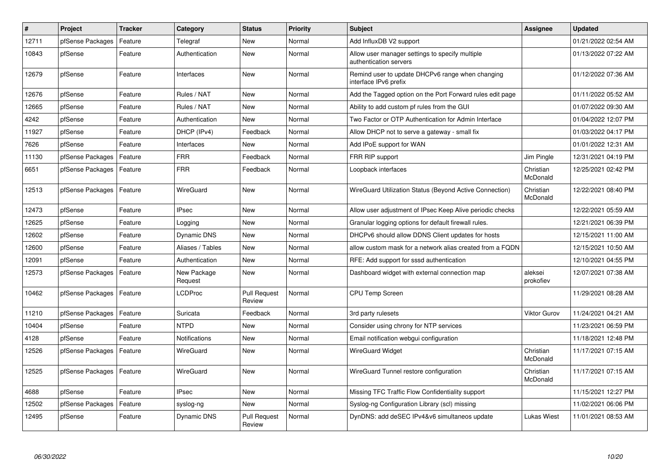| #     | <b>Project</b>   | <b>Tracker</b> | Category               | <b>Status</b>                 | Priority | <b>Subject</b>                                                            | Assignee              | <b>Updated</b>      |
|-------|------------------|----------------|------------------------|-------------------------------|----------|---------------------------------------------------------------------------|-----------------------|---------------------|
| 12711 | pfSense Packages | Feature        | Telegraf               | <b>New</b>                    | Normal   | Add InfluxDB V2 support                                                   |                       | 01/21/2022 02:54 AM |
| 10843 | pfSense          | Feature        | Authentication         | New                           | Normal   | Allow user manager settings to specify multiple<br>authentication servers |                       | 01/13/2022 07:22 AM |
| 12679 | pfSense          | Feature        | Interfaces             | New                           | Normal   | Remind user to update DHCPv6 range when changing<br>interface IPv6 prefix |                       | 01/12/2022 07:36 AM |
| 12676 | pfSense          | Feature        | Rules / NAT            | <b>New</b>                    | Normal   | Add the Tagged option on the Port Forward rules edit page                 |                       | 01/11/2022 05:52 AM |
| 12665 | pfSense          | Feature        | Rules / NAT            | New                           | Normal   | Ability to add custom pf rules from the GUI                               |                       | 01/07/2022 09:30 AM |
| 4242  | pfSense          | Feature        | Authentication         | New                           | Normal   | Two Factor or OTP Authentication for Admin Interface                      |                       | 01/04/2022 12:07 PM |
| 11927 | pfSense          | Feature        | DHCP (IPv4)            | Feedback                      | Normal   | Allow DHCP not to serve a gateway - small fix                             |                       | 01/03/2022 04:17 PM |
| 7626  | pfSense          | Feature        | Interfaces             | New                           | Normal   | Add IPoE support for WAN                                                  |                       | 01/01/2022 12:31 AM |
| 11130 | pfSense Packages | Feature        | <b>FRR</b>             | Feedback                      | Normal   | FRR RIP support                                                           | Jim Pingle            | 12/31/2021 04:19 PM |
| 6651  | pfSense Packages | Feature        | <b>FRR</b>             | Feedback                      | Normal   | Loopback interfaces                                                       | Christian<br>McDonald | 12/25/2021 02:42 PM |
| 12513 | pfSense Packages | Feature        | WireGuard              | <b>New</b>                    | Normal   | WireGuard Utilization Status (Beyond Active Connection)                   | Christian<br>McDonald | 12/22/2021 08:40 PM |
| 12473 | pfSense          | Feature        | <b>IPsec</b>           | New                           | Normal   | Allow user adjustment of IPsec Keep Alive periodic checks                 |                       | 12/22/2021 05:59 AM |
| 12625 | pfSense          | Feature        | Logging                | <b>New</b>                    | Normal   | Granular logging options for default firewall rules.                      |                       | 12/21/2021 06:39 PM |
| 12602 | pfSense          | Feature        | <b>Dynamic DNS</b>     | New                           | Normal   | DHCPv6 should allow DDNS Client updates for hosts                         |                       | 12/15/2021 11:00 AM |
| 12600 | pfSense          | Feature        | Aliases / Tables       | New                           | Normal   | allow custom mask for a network alias created from a FQDN                 |                       | 12/15/2021 10:50 AM |
| 12091 | pfSense          | Feature        | Authentication         | <b>New</b>                    | Normal   | RFE: Add support for sssd authentication                                  |                       | 12/10/2021 04:55 PM |
| 12573 | pfSense Packages | Feature        | New Package<br>Request | New                           | Normal   | Dashboard widget with external connection map                             | aleksei<br>prokofiev  | 12/07/2021 07:38 AM |
| 10462 | pfSense Packages | Feature        | <b>LCDProc</b>         | <b>Pull Request</b><br>Review | Normal   | <b>CPU Temp Screen</b>                                                    |                       | 11/29/2021 08:28 AM |
| 11210 | pfSense Packages | Feature        | Suricata               | Feedback                      | Normal   | 3rd party rulesets                                                        | <b>Viktor Gurov</b>   | 11/24/2021 04:21 AM |
| 10404 | pfSense          | Feature        | <b>NTPD</b>            | New                           | Normal   | Consider using chrony for NTP services                                    |                       | 11/23/2021 06:59 PM |
| 4128  | pfSense          | Feature        | <b>Notifications</b>   | New                           | Normal   | Email notification webgui configuration                                   |                       | 11/18/2021 12:48 PM |
| 12526 | pfSense Packages | Feature        | WireGuard              | New                           | Normal   | <b>WireGuard Widget</b>                                                   | Christian<br>McDonald | 11/17/2021 07:15 AM |
| 12525 | pfSense Packages | Feature        | WireGuard              | New                           | Normal   | WireGuard Tunnel restore configuration                                    | Christian<br>McDonald | 11/17/2021 07:15 AM |
| 4688  | pfSense          | Feature        | <b>IPsec</b>           | New                           | Normal   | Missing TFC Traffic Flow Confidentiality support                          |                       | 11/15/2021 12:27 PM |
| 12502 | pfSense Packages | Feature        | syslog-ng              | New                           | Normal   | Syslog-ng Configuration Library (scl) missing                             |                       | 11/02/2021 06:06 PM |
| 12495 | pfSense          | Feature        | Dynamic DNS            | <b>Pull Request</b><br>Review | Normal   | DynDNS: add deSEC IPv4&v6 simultaneos update                              | <b>Lukas Wiest</b>    | 11/01/2021 08:53 AM |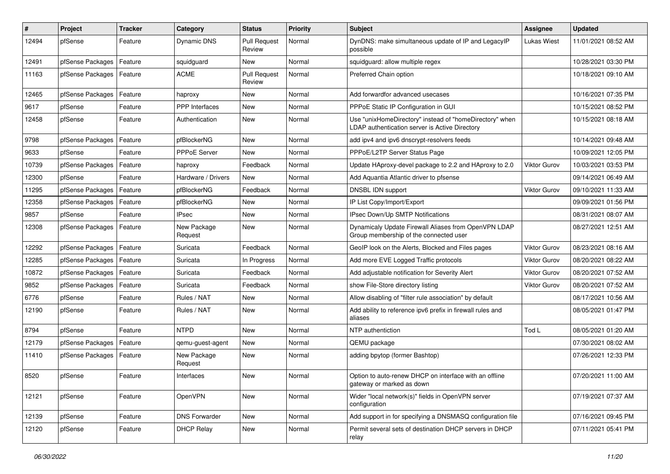| #     | Project          | <b>Tracker</b> | Category               | <b>Status</b>                 | <b>Priority</b> | Subject                                                                                                   | <b>Assignee</b>     | <b>Updated</b>      |
|-------|------------------|----------------|------------------------|-------------------------------|-----------------|-----------------------------------------------------------------------------------------------------------|---------------------|---------------------|
| 12494 | pfSense          | Feature        | Dynamic DNS            | <b>Pull Request</b><br>Review | Normal          | DynDNS: make simultaneous update of IP and LegacyIP<br>possible                                           | <b>Lukas Wiest</b>  | 11/01/2021 08:52 AM |
| 12491 | pfSense Packages | Feature        | squidguard             | New                           | Normal          | squidguard: allow multiple regex                                                                          |                     | 10/28/2021 03:30 PM |
| 11163 | pfSense Packages | Feature        | <b>ACME</b>            | <b>Pull Request</b><br>Review | Normal          | Preferred Chain option                                                                                    |                     | 10/18/2021 09:10 AM |
| 12465 | pfSense Packages | Feature        | haproxy                | <b>New</b>                    | Normal          | Add forwardfor advanced usecases                                                                          |                     | 10/16/2021 07:35 PM |
| 9617  | pfSense          | Feature        | PPP Interfaces         | New                           | Normal          | PPPoE Static IP Configuration in GUI                                                                      |                     | 10/15/2021 08:52 PM |
| 12458 | pfSense          | Feature        | Authentication         | <b>New</b>                    | Normal          | Use "unixHomeDirectory" instead of "homeDirectory" when<br>LDAP authentication server is Active Directory |                     | 10/15/2021 08:18 AM |
| 9798  | pfSense Packages | Feature        | pfBlockerNG            | <b>New</b>                    | Normal          | add ipv4 and ipv6 dnscrypt-resolvers feeds                                                                |                     | 10/14/2021 09:48 AM |
| 9633  | pfSense          | Feature        | PPPoE Server           | New                           | Normal          | PPPoE/L2TP Server Status Page                                                                             |                     | 10/09/2021 12:05 PM |
| 10739 | pfSense Packages | Feature        | haproxy                | Feedback                      | Normal          | Update HAproxy-devel package to 2.2 and HAproxy to 2.0                                                    | <b>Viktor Gurov</b> | 10/03/2021 03:53 PM |
| 12300 | pfSense          | Feature        | Hardware / Drivers     | <b>New</b>                    | Normal          | Add Aquantia Atlantic driver to pfsense                                                                   |                     | 09/14/2021 06:49 AM |
| 11295 | pfSense Packages | Feature        | pfBlockerNG            | Feedback                      | Normal          | DNSBL IDN support                                                                                         | <b>Viktor Gurov</b> | 09/10/2021 11:33 AM |
| 12358 | pfSense Packages | Feature        | pfBlockerNG            | New                           | Normal          | IP List Copy/Import/Export                                                                                |                     | 09/09/2021 01:56 PM |
| 9857  | pfSense          | Feature        | <b>IPsec</b>           | New                           | Normal          | IPsec Down/Up SMTP Notifications                                                                          |                     | 08/31/2021 08:07 AM |
| 12308 | pfSense Packages | Feature        | New Package<br>Request | New                           | Normal          | Dynamicaly Update Firewall Aliases from OpenVPN LDAP<br>Group membership of the connected user            |                     | 08/27/2021 12:51 AM |
| 12292 | pfSense Packages | Feature        | Suricata               | Feedback                      | Normal          | GeoIP look on the Alerts, Blocked and Files pages                                                         | <b>Viktor Gurov</b> | 08/23/2021 08:16 AM |
| 12285 | pfSense Packages | Feature        | Suricata               | In Progress                   | Normal          | Add more EVE Logged Traffic protocols                                                                     | <b>Viktor Gurov</b> | 08/20/2021 08:22 AM |
| 10872 | pfSense Packages | Feature        | Suricata               | Feedback                      | Normal          | Add adjustable notification for Severity Alert                                                            | Viktor Gurov        | 08/20/2021 07:52 AM |
| 9852  | pfSense Packages | Feature        | Suricata               | Feedback                      | Normal          | show File-Store directory listing                                                                         | <b>Viktor Gurov</b> | 08/20/2021 07:52 AM |
| 6776  | pfSense          | Feature        | Rules / NAT            | New                           | Normal          | Allow disabling of "filter rule association" by default                                                   |                     | 08/17/2021 10:56 AM |
| 12190 | pfSense          | Feature        | Rules / NAT            | New                           | Normal          | Add ability to reference ipv6 prefix in firewall rules and<br>aliases                                     |                     | 08/05/2021 01:47 PM |
| 8794  | pfSense          | Feature        | <b>NTPD</b>            | <b>New</b>                    | Normal          | NTP authentiction                                                                                         | Tod L               | 08/05/2021 01:20 AM |
| 12179 | pfSense Packages | Feature        | qemu-guest-agent       | New                           | Normal          | QEMU package                                                                                              |                     | 07/30/2021 08:02 AM |
| 11410 | pfSense Packages | Feature        | New Package<br>Request | New                           | Normal          | adding bpytop (former Bashtop)                                                                            |                     | 07/26/2021 12:33 PM |
| 8520  | pfSense          | Feature        | Interfaces             | New                           | Normal          | Option to auto-renew DHCP on interface with an offline<br>gateway or marked as down                       |                     | 07/20/2021 11:00 AM |
| 12121 | pfSense          | Feature        | OpenVPN                | New                           | Normal          | Wider "local network(s)" fields in OpenVPN server<br>configuration                                        |                     | 07/19/2021 07:37 AM |
| 12139 | pfSense          | Feature        | <b>DNS Forwarder</b>   | New                           | Normal          | Add support in for specifying a DNSMASQ configuration file                                                |                     | 07/16/2021 09:45 PM |
| 12120 | pfSense          | Feature        | <b>DHCP Relay</b>      | New                           | Normal          | Permit several sets of destination DHCP servers in DHCP<br>relay                                          |                     | 07/11/2021 05:41 PM |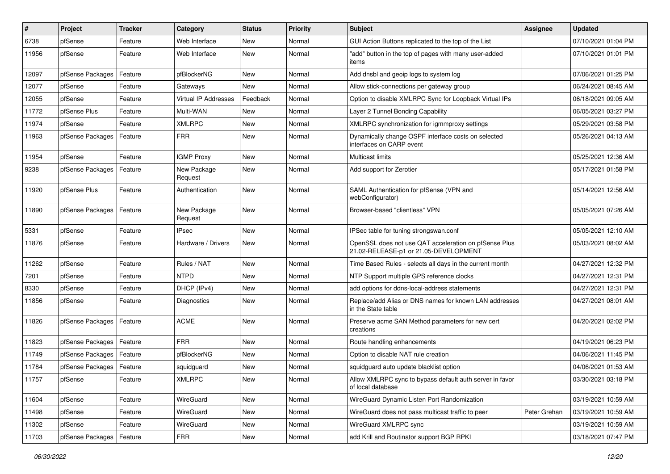| ∦     | Project                    | <b>Tracker</b> | Category               | <b>Status</b> | <b>Priority</b> | Subject                                                                                        | Assignee     | <b>Updated</b>      |
|-------|----------------------------|----------------|------------------------|---------------|-----------------|------------------------------------------------------------------------------------------------|--------------|---------------------|
| 6738  | pfSense                    | Feature        | Web Interface          | New           | Normal          | GUI Action Buttons replicated to the top of the List                                           |              | 07/10/2021 01:04 PM |
| 11956 | pfSense                    | Feature        | Web Interface          | New           | Normal          | "add" button in the top of pages with many user-added<br>items                                 |              | 07/10/2021 01:01 PM |
| 12097 | pfSense Packages           | Feature        | pfBlockerNG            | New           | Normal          | Add dnsbl and geoip logs to system log                                                         |              | 07/06/2021 01:25 PM |
| 12077 | pfSense                    | Feature        | Gateways               | New           | Normal          | Allow stick-connections per gateway group                                                      |              | 06/24/2021 08:45 AM |
| 12055 | pfSense                    | Feature        | Virtual IP Addresses   | Feedback      | Normal          | Option to disable XMLRPC Sync for Loopback Virtual IPs                                         |              | 06/18/2021 09:05 AM |
| 11772 | pfSense Plus               | Feature        | Multi-WAN              | New           | Normal          | Layer 2 Tunnel Bonding Capability                                                              |              | 06/05/2021 03:27 PM |
| 11974 | pfSense                    | Feature        | <b>XMLRPC</b>          | New           | Normal          | XMLRPC synchronization for igmmproxy settings                                                  |              | 05/29/2021 03:58 PM |
| 11963 | pfSense Packages           | Feature        | <b>FRR</b>             | New           | Normal          | Dynamically change OSPF interface costs on selected<br>interfaces on CARP event                |              | 05/26/2021 04:13 AM |
| 11954 | pfSense                    | Feature        | <b>IGMP Proxy</b>      | New           | Normal          | Multicast limits                                                                               |              | 05/25/2021 12:36 AM |
| 9238  | pfSense Packages           | Feature        | New Package<br>Request | New           | Normal          | Add support for Zerotier                                                                       |              | 05/17/2021 01:58 PM |
| 11920 | pfSense Plus               | Feature        | Authentication         | New           | Normal          | SAML Authentication for pfSense (VPN and<br>webConfigurator)                                   |              | 05/14/2021 12:56 AM |
| 11890 | pfSense Packages           | Feature        | New Package<br>Request | <b>New</b>    | Normal          | Browser-based "clientless" VPN                                                                 |              | 05/05/2021 07:26 AM |
| 5331  | pfSense                    | Feature        | <b>IPsec</b>           | New           | Normal          | IPSec table for tuning strongswan.conf                                                         |              | 05/05/2021 12:10 AM |
| 11876 | pfSense                    | Feature        | Hardware / Drivers     | New           | Normal          | OpenSSL does not use QAT acceleration on pfSense Plus<br>21.02-RELEASE-p1 or 21.05-DEVELOPMENT |              | 05/03/2021 08:02 AM |
| 11262 | pfSense                    | Feature        | Rules / NAT            | <b>New</b>    | Normal          | Time Based Rules - selects all days in the current month                                       |              | 04/27/2021 12:32 PM |
| 7201  | pfSense                    | Feature        | <b>NTPD</b>            | New           | Normal          | NTP Support multiple GPS reference clocks                                                      |              | 04/27/2021 12:31 PM |
| 8330  | pfSense                    | Feature        | DHCP (IPv4)            | New           | Normal          | add options for ddns-local-address statements                                                  |              | 04/27/2021 12:31 PM |
| 11856 | pfSense                    | Feature        | Diagnostics            | <b>New</b>    | Normal          | Replace/add Alias or DNS names for known LAN addresses<br>in the State table                   |              | 04/27/2021 08:01 AM |
| 11826 | pfSense Packages   Feature |                | <b>ACME</b>            | New           | Normal          | Preserve acme SAN Method parameters for new cert<br>creations                                  |              | 04/20/2021 02:02 PM |
| 11823 | pfSense Packages           | Feature        | <b>FRR</b>             | New           | Normal          | Route handling enhancements                                                                    |              | 04/19/2021 06:23 PM |
| 11749 | pfSense Packages           | Feature        | pfBlockerNG            | New           | Normal          | Option to disable NAT rule creation                                                            |              | 04/06/2021 11:45 PM |
| 11784 | pfSense Packages   Feature |                | squidguard             | New           | Normal          | squidguard auto update blacklist option                                                        |              | 04/06/2021 01:53 AM |
| 11757 | pfSense                    | Feature        | XMLRPC                 | New           | Normal          | Allow XMLRPC sync to bypass default auth server in favor<br>of local database                  |              | 03/30/2021 03:18 PM |
| 11604 | pfSense                    | Feature        | WireGuard              | New           | Normal          | WireGuard Dynamic Listen Port Randomization                                                    |              | 03/19/2021 10:59 AM |
| 11498 | pfSense                    | Feature        | WireGuard              | New           | Normal          | WireGuard does not pass multicast traffic to peer                                              | Peter Grehan | 03/19/2021 10:59 AM |
| 11302 | pfSense                    | Feature        | WireGuard              | New           | Normal          | WireGuard XMLRPC sync                                                                          |              | 03/19/2021 10:59 AM |
| 11703 | pfSense Packages           | Feature        | <b>FRR</b>             | New           | Normal          | add Krill and Routinator support BGP RPKI                                                      |              | 03/18/2021 07:47 PM |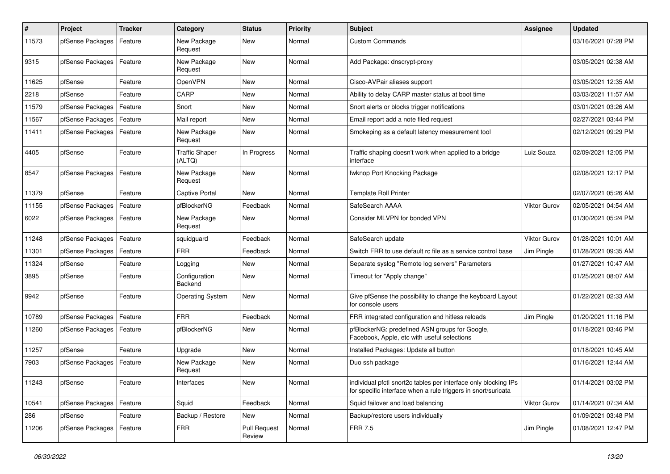| #     | Project          | <b>Tracker</b> | Category                        | <b>Status</b>                 | <b>Priority</b> | <b>Subject</b>                                                                                                                   | <b>Assignee</b>     | <b>Updated</b>      |
|-------|------------------|----------------|---------------------------------|-------------------------------|-----------------|----------------------------------------------------------------------------------------------------------------------------------|---------------------|---------------------|
| 11573 | pfSense Packages | Feature        | New Package<br>Request          | New                           | Normal          | <b>Custom Commands</b>                                                                                                           |                     | 03/16/2021 07:28 PM |
| 9315  | pfSense Packages | Feature        | New Package<br>Request          | New                           | Normal          | Add Package: dnscrypt-proxy                                                                                                      |                     | 03/05/2021 02:38 AM |
| 11625 | pfSense          | Feature        | OpenVPN                         | <b>New</b>                    | Normal          | Cisco-AVPair aliases support                                                                                                     |                     | 03/05/2021 12:35 AM |
| 2218  | pfSense          | Feature        | CARP                            | New                           | Normal          | Ability to delay CARP master status at boot time                                                                                 |                     | 03/03/2021 11:57 AM |
| 11579 | pfSense Packages | Feature        | Snort                           | New                           | Normal          | Snort alerts or blocks trigger notifications                                                                                     |                     | 03/01/2021 03:26 AM |
| 11567 | pfSense Packages | Feature        | Mail report                     | New                           | Normal          | Email report add a note filed request                                                                                            |                     | 02/27/2021 03:44 PM |
| 11411 | pfSense Packages | Feature        | New Package<br>Request          | New                           | Normal          | Smokeping as a default latency measurement tool                                                                                  |                     | 02/12/2021 09:29 PM |
| 4405  | pfSense          | Feature        | <b>Traffic Shaper</b><br>(ALTQ) | In Progress                   | Normal          | Traffic shaping doesn't work when applied to a bridge<br>interface                                                               | Luiz Souza          | 02/09/2021 12:05 PM |
| 8547  | pfSense Packages | Feature        | New Package<br>Request          | <b>New</b>                    | Normal          | fwknop Port Knocking Package                                                                                                     |                     | 02/08/2021 12:17 PM |
| 11379 | pfSense          | Feature        | <b>Captive Portal</b>           | New                           | Normal          | <b>Template Roll Printer</b>                                                                                                     |                     | 02/07/2021 05:26 AM |
| 11155 | pfSense Packages | Feature        | pfBlockerNG                     | Feedback                      | Normal          | SafeSearch AAAA                                                                                                                  | <b>Viktor Gurov</b> | 02/05/2021 04:54 AM |
| 6022  | pfSense Packages | Feature        | New Package<br>Request          | New                           | Normal          | Consider MLVPN for bonded VPN                                                                                                    |                     | 01/30/2021 05:24 PM |
| 11248 | pfSense Packages | Feature        | squidguard                      | Feedback                      | Normal          | SafeSearch update                                                                                                                | <b>Viktor Gurov</b> | 01/28/2021 10:01 AM |
| 11301 | pfSense Packages | Feature        | <b>FRR</b>                      | Feedback                      | Normal          | Switch FRR to use default rc file as a service control base                                                                      | Jim Pingle          | 01/28/2021 09:35 AM |
| 11324 | pfSense          | Feature        | Logging                         | New                           | Normal          | Separate syslog "Remote log servers" Parameters                                                                                  |                     | 01/27/2021 10:47 AM |
| 3895  | pfSense          | Feature        | Configuration<br>Backend        | New                           | Normal          | Timeout for "Apply change"                                                                                                       |                     | 01/25/2021 08:07 AM |
| 9942  | pfSense          | Feature        | <b>Operating System</b>         | <b>New</b>                    | Normal          | Give pfSense the possibility to change the keyboard Layout<br>for console users                                                  |                     | 01/22/2021 02:33 AM |
| 10789 | pfSense Packages | Feature        | <b>FRR</b>                      | Feedback                      | Normal          | FRR integrated configuration and hitless reloads                                                                                 | Jim Pingle          | 01/20/2021 11:16 PM |
| 11260 | pfSense Packages | Feature        | pfBlockerNG                     | New                           | Normal          | pfBlockerNG: predefined ASN groups for Google,<br>Facebook, Apple, etc with useful selections                                    |                     | 01/18/2021 03:46 PM |
| 11257 | pfSense          | Feature        | Upgrade                         | <b>New</b>                    | Normal          | Installed Packages: Update all button                                                                                            |                     | 01/18/2021 10:45 AM |
| 7903  | pfSense Packages | Feature        | New Package<br>Request          | New                           | Normal          | Duo ssh package                                                                                                                  |                     | 01/16/2021 12:44 AM |
| 11243 | pfSense          | Feature        | Interfaces                      | New                           | Normal          | individual pfctl snort2c tables per interface only blocking IPs<br>for specific interface when a rule triggers in snort/suricata |                     | 01/14/2021 03:02 PM |
| 10541 | pfSense Packages | Feature        | Squid                           | Feedback                      | Normal          | Squid failover and load balancing                                                                                                | Viktor Gurov        | 01/14/2021 07:34 AM |
| 286   | pfSense          | Feature        | Backup / Restore                | New                           | Normal          | Backup/restore users individually                                                                                                |                     | 01/09/2021 03:48 PM |
| 11206 | pfSense Packages | Feature        | <b>FRR</b>                      | <b>Pull Request</b><br>Review | Normal          | <b>FRR 7.5</b>                                                                                                                   | Jim Pingle          | 01/08/2021 12:47 PM |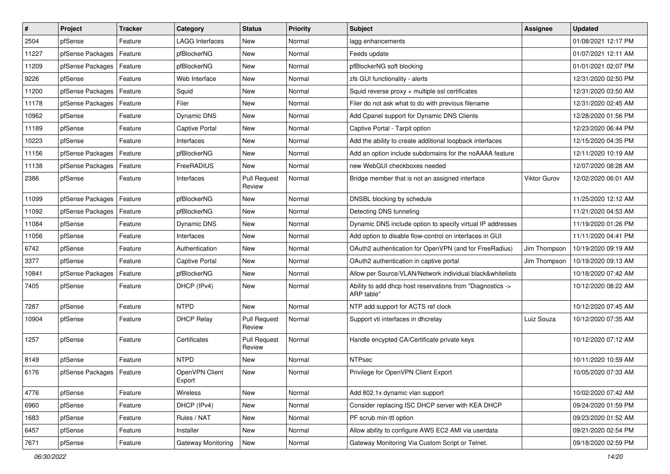| #     | Project          | <b>Tracker</b> | Category                 | <b>Status</b>                 | <b>Priority</b> | Subject                                                                  | Assignee            | <b>Updated</b>      |
|-------|------------------|----------------|--------------------------|-------------------------------|-----------------|--------------------------------------------------------------------------|---------------------|---------------------|
| 2504  | pfSense          | Feature        | LAGG Interfaces          | New                           | Normal          | lagg enhancements                                                        |                     | 01/08/2021 12:17 PM |
| 11227 | pfSense Packages | Feature        | pfBlockerNG              | New                           | Normal          | Feeds update                                                             |                     | 01/07/2021 12:11 AM |
| 11209 | pfSense Packages | Feature        | pfBlockerNG              | New                           | Normal          | pfBlockerNG soft blocking                                                |                     | 01/01/2021 02:07 PM |
| 9226  | pfSense          | Feature        | Web Interface            | New                           | Normal          | zfs GUI functionality - alerts                                           |                     | 12/31/2020 02:50 PM |
| 11200 | pfSense Packages | Feature        | Squid                    | <b>New</b>                    | Normal          | Squid reverse proxy + multiple ssl certificates                          |                     | 12/31/2020 03:50 AM |
| 11178 | pfSense Packages | Feature        | Filer                    | New                           | Normal          | Filer do not ask what to do with previous filename                       |                     | 12/31/2020 02:45 AM |
| 10962 | pfSense          | Feature        | <b>Dynamic DNS</b>       | New                           | Normal          | Add Cpanel support for Dynamic DNS Clients                               |                     | 12/28/2020 01:56 PM |
| 11189 | pfSense          | Feature        | Captive Portal           | New                           | Normal          | Captive Portal - Tarpit option                                           |                     | 12/23/2020 06:44 PM |
| 10223 | pfSense          | Feature        | Interfaces               | New                           | Normal          | Add the ability to create additional loopback interfaces                 |                     | 12/15/2020 04:35 PM |
| 11156 | pfSense Packages | Feature        | pfBlockerNG              | New                           | Normal          | Add an option include subdomains for the noAAAA feature                  |                     | 12/11/2020 10:19 AM |
| 11138 | pfSense Packages | Feature        | FreeRADIUS               | New                           | Normal          | new WebGUI checkboxes needed                                             |                     | 12/07/2020 08:28 AM |
| 2386  | pfSense          | Feature        | Interfaces               | <b>Pull Request</b><br>Review | Normal          | Bridge member that is not an assigned interface                          | <b>Viktor Gurov</b> | 12/02/2020 06:01 AM |
| 11099 | pfSense Packages | Feature        | pfBlockerNG              | New                           | Normal          | DNSBL blocking by schedule                                               |                     | 11/25/2020 12:12 AM |
| 11092 | pfSense Packages | Feature        | pfBlockerNG              | New                           | Normal          | Detecting DNS tunneling                                                  |                     | 11/21/2020 04:53 AM |
| 11084 | pfSense          | Feature        | Dynamic DNS              | New                           | Normal          | Dynamic DNS include option to specify virtual IP addresses               |                     | 11/19/2020 01:26 PM |
| 11056 | pfSense          | Feature        | Interfaces               | New                           | Normal          | Add option to disable flow-control on interfaces in GUI                  |                     | 11/11/2020 04:41 PM |
| 6742  | pfSense          | Feature        | Authentication           | New                           | Normal          | OAuth2 authentication for OpenVPN (and for FreeRadius)                   | Jim Thompson        | 10/19/2020 09:19 AM |
| 3377  | pfSense          | Feature        | Captive Portal           | New                           | Normal          | OAuth2 authentication in captive portal                                  | Jim Thompson        | 10/19/2020 09:13 AM |
| 10841 | pfSense Packages | Feature        | pfBlockerNG              | New                           | Normal          | Allow per Source/VLAN/Network individual black&whitelists                |                     | 10/18/2020 07:42 AM |
| 7405  | pfSense          | Feature        | DHCP (IPv4)              | <b>New</b>                    | Normal          | Ability to add dhcp host reservations from "Diagnostics -><br>ARP table" |                     | 10/12/2020 08:22 AM |
| 7287  | pfSense          | Feature        | <b>NTPD</b>              | New                           | Normal          | NTP add support for ACTS ref clock                                       |                     | 10/12/2020 07:45 AM |
| 10904 | pfSense          | Feature        | <b>DHCP Relay</b>        | <b>Pull Request</b><br>Review | Normal          | Support vti interfaces in dhcrelay                                       | Luiz Souza          | 10/12/2020 07:35 AM |
| 1257  | pfSense          | Feature        | Certificates             | <b>Pull Request</b><br>Review | Normal          | Handle encypted CA/Certificate private keys                              |                     | 10/12/2020 07:12 AM |
| 8149  | pfSense          | Feature        | <b>NTPD</b>              | New                           | Normal          | <b>NTPsec</b>                                                            |                     | 10/11/2020 10:59 AM |
| 6176  | pfSense Packages | Feature        | OpenVPN Client<br>Export | New                           | Normal          | Privilege for OpenVPN Client Export                                      |                     | 10/05/2020 07:33 AM |
| 4776  | pfSense          | Feature        | Wireless                 | <b>New</b>                    | Normal          | Add 802.1x dynamic vlan support                                          |                     | 10/02/2020 07:42 AM |
| 6960  | pfSense          | Feature        | DHCP (IPv4)              | New                           | Normal          | Consider replacing ISC DHCP server with KEA DHCP                         |                     | 09/24/2020 01:59 PM |
| 1683  | pfSense          | Feature        | Rules / NAT              | New                           | Normal          | PF scrub min-ttl option                                                  |                     | 09/23/2020 01:52 AM |
| 6457  | pfSense          | Feature        | Installer                | New                           | Normal          | Allow ability to configure AWS EC2 AMI via userdata                      |                     | 09/21/2020 02:54 PM |
| 7671  | pfSense          | Feature        | Gateway Monitoring       | New                           | Normal          | Gateway Monitoring Via Custom Script or Telnet.                          |                     | 09/18/2020 02:59 PM |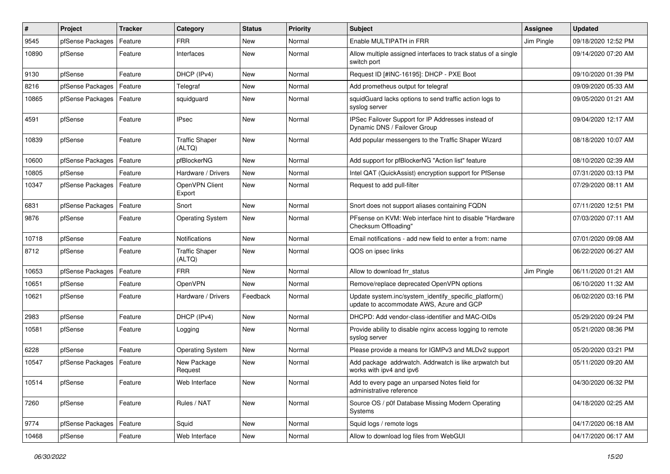| #     | Project          | <b>Tracker</b> | Category                        | <b>Status</b> | <b>Priority</b> | <b>Subject</b>                                                                                    | <b>Assignee</b> | <b>Updated</b>      |
|-------|------------------|----------------|---------------------------------|---------------|-----------------|---------------------------------------------------------------------------------------------------|-----------------|---------------------|
| 9545  | pfSense Packages | Feature        | <b>FRR</b>                      | New           | Normal          | Enable MULTIPATH in FRR                                                                           | Jim Pingle      | 09/18/2020 12:52 PM |
| 10890 | pfSense          | Feature        | Interfaces                      | New           | Normal          | Allow multiple assigned interfaces to track status of a single<br>switch port                     |                 | 09/14/2020 07:20 AM |
| 9130  | pfSense          | Feature        | DHCP (IPv4)                     | <b>New</b>    | Normal          | Request ID [#INC-16195]: DHCP - PXE Boot                                                          |                 | 09/10/2020 01:39 PM |
| 8216  | pfSense Packages | Feature        | Telegraf                        | <b>New</b>    | Normal          | Add prometheus output for telegraf                                                                |                 | 09/09/2020 05:33 AM |
| 10865 | pfSense Packages | Feature        | squidguard                      | New           | Normal          | squidGuard lacks options to send traffic action logs to<br>syslog server                          |                 | 09/05/2020 01:21 AM |
| 4591  | pfSense          | Feature        | <b>IPsec</b>                    | <b>New</b>    | Normal          | IPSec Failover Support for IP Addresses instead of<br>Dynamic DNS / Failover Group                |                 | 09/04/2020 12:17 AM |
| 10839 | pfSense          | Feature        | <b>Traffic Shaper</b><br>(ALTQ) | New           | Normal          | Add popular messengers to the Traffic Shaper Wizard                                               |                 | 08/18/2020 10:07 AM |
| 10600 | pfSense Packages | Feature        | pfBlockerNG                     | <b>New</b>    | Normal          | Add support for pfBlockerNG "Action list" feature                                                 |                 | 08/10/2020 02:39 AM |
| 10805 | pfSense          | Feature        | Hardware / Drivers              | <b>New</b>    | Normal          | Intel QAT (QuickAssist) encryption support for PfSense                                            |                 | 07/31/2020 03:13 PM |
| 10347 | pfSense Packages | Feature        | OpenVPN Client<br>Export        | New           | Normal          | Request to add pull-filter                                                                        |                 | 07/29/2020 08:11 AM |
| 6831  | pfSense Packages | Feature        | Snort                           | <b>New</b>    | Normal          | Snort does not support aliases containing FQDN                                                    |                 | 07/11/2020 12:51 PM |
| 9876  | pfSense          | Feature        | <b>Operating System</b>         | New           | Normal          | PFsense on KVM: Web interface hint to disable "Hardware<br>Checksum Offloading'                   |                 | 07/03/2020 07:11 AM |
| 10718 | pfSense          | Feature        | Notifications                   | <b>New</b>    | Normal          | Email notifications - add new field to enter a from: name                                         |                 | 07/01/2020 09:08 AM |
| 8712  | pfSense          | Feature        | <b>Traffic Shaper</b><br>(ALTQ) | New           | Normal          | QOS on ipsec links                                                                                |                 | 06/22/2020 06:27 AM |
| 10653 | pfSense Packages | Feature        | <b>FRR</b>                      | New           | Normal          | Allow to download frr status                                                                      | Jim Pingle      | 06/11/2020 01:21 AM |
| 10651 | pfSense          | Feature        | OpenVPN                         | New           | Normal          | Remove/replace deprecated OpenVPN options                                                         |                 | 06/10/2020 11:32 AM |
| 10621 | pfSense          | Feature        | Hardware / Drivers              | Feedback      | Normal          | Update system.inc/system_identify_specific_platform()<br>update to accommodate AWS, Azure and GCP |                 | 06/02/2020 03:16 PM |
| 2983  | pfSense          | Feature        | DHCP (IPv4)                     | <b>New</b>    | Normal          | DHCPD: Add vendor-class-identifier and MAC-OIDs                                                   |                 | 05/29/2020 09:24 PM |
| 10581 | pfSense          | Feature        | Logging                         | New           | Normal          | Provide ability to disable nginx access logging to remote<br>syslog server                        |                 | 05/21/2020 08:36 PM |
| 6228  | pfSense          | Feature        | <b>Operating System</b>         | <b>New</b>    | Normal          | Please provide a means for IGMPv3 and MLDv2 support                                               |                 | 05/20/2020 03:21 PM |
| 10547 | pfSense Packages | Feature        | New Package<br>Request          | New           | Normal          | Add package addrwatch. Addrwatch is like arpwatch but<br>works with ipv4 and ipv6                 |                 | 05/11/2020 09:20 AM |
| 10514 | pfSense          | Feature        | Web Interface                   | New           | Normal          | Add to every page an unparsed Notes field for<br>administrative reference                         |                 | 04/30/2020 06:32 PM |
| 7260  | pfSense          | Feature        | Rules / NAT                     | New           | Normal          | Source OS / p0f Database Missing Modern Operating<br>Systems                                      |                 | 04/18/2020 02:25 AM |
| 9774  | pfSense Packages | Feature        | Squid                           | New           | Normal          | Squid logs / remote logs                                                                          |                 | 04/17/2020 06:18 AM |
| 10468 | pfSense          | Feature        | Web Interface                   | New           | Normal          | Allow to download log files from WebGUI                                                           |                 | 04/17/2020 06:17 AM |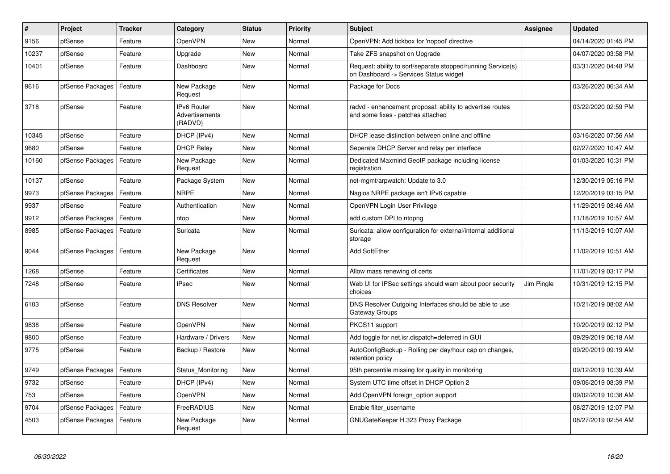| $\vert$ # | Project          | <b>Tracker</b> | Category                                        | <b>Status</b> | Priority | <b>Subject</b>                                                                                         | Assignee   | <b>Updated</b>      |
|-----------|------------------|----------------|-------------------------------------------------|---------------|----------|--------------------------------------------------------------------------------------------------------|------------|---------------------|
| 9156      | pfSense          | Feature        | OpenVPN                                         | <b>New</b>    | Normal   | OpenVPN: Add tickbox for 'nopool' directive                                                            |            | 04/14/2020 01:45 PM |
| 10237     | pfSense          | Feature        | Upgrade                                         | <b>New</b>    | Normal   | Take ZFS snapshot on Upgrade                                                                           |            | 04/07/2020 03:58 PM |
| 10401     | pfSense          | Feature        | Dashboard                                       | New           | Normal   | Request: ability to sort/separate stopped/running Service(s)<br>on Dashboard -> Services Status widget |            | 03/31/2020 04:48 PM |
| 9616      | pfSense Packages | Feature        | New Package<br>Request                          | <b>New</b>    | Normal   | Package for Docs                                                                                       |            | 03/26/2020 06:34 AM |
| 3718      | pfSense          | Feature        | <b>IPv6 Router</b><br>Advertisements<br>(RADVD) | New           | Normal   | radvd - enhancement proposal: ability to advertise routes<br>and some fixes - patches attached         |            | 03/22/2020 02:59 PM |
| 10345     | pfSense          | Feature        | DHCP (IPv4)                                     | <b>New</b>    | Normal   | DHCP lease distinction between online and offline                                                      |            | 03/16/2020 07:56 AM |
| 9680      | pfSense          | Feature        | <b>DHCP Relay</b>                               | New           | Normal   | Seperate DHCP Server and relay per interface                                                           |            | 02/27/2020 10:47 AM |
| 10160     | pfSense Packages | Feature        | New Package<br>Request                          | New           | Normal   | Dedicated Maxmind GeoIP package including license<br>registration                                      |            | 01/03/2020 10:31 PM |
| 10137     | pfSense          | Feature        | Package System                                  | New           | Normal   | net-mgmt/arpwatch: Update to 3.0                                                                       |            | 12/30/2019 05:16 PM |
| 9973      | pfSense Packages | Feature        | <b>NRPE</b>                                     | New           | Normal   | Nagios NRPE package isn't IPv6 capable                                                                 |            | 12/20/2019 03:15 PM |
| 9937      | pfSense          | Feature        | Authentication                                  | New           | Normal   | OpenVPN Login User Privilege                                                                           |            | 11/29/2019 08:46 AM |
| 9912      | pfSense Packages | Feature        | ntop                                            | New           | Normal   | add custom DPI to ntopng                                                                               |            | 11/18/2019 10:57 AM |
| 8985      | pfSense Packages | Feature        | Suricata                                        | <b>New</b>    | Normal   | Suricata: allow configuration for external/internal additional<br>storage                              |            | 11/13/2019 10:07 AM |
| 9044      | pfSense Packages | Feature        | New Package<br>Request                          | New           | Normal   | <b>Add SoftEther</b>                                                                                   |            | 11/02/2019 10:51 AM |
| 1268      | pfSense          | Feature        | Certificates                                    | New           | Normal   | Allow mass renewing of certs                                                                           |            | 11/01/2019 03:17 PM |
| 7248      | pfSense          | Feature        | <b>IPsec</b>                                    | New           | Normal   | Web UI for IPSec settings should warn about poor security<br>choices                                   | Jim Pingle | 10/31/2019 12:15 PM |
| 6103      | pfSense          | Feature        | <b>DNS Resolver</b>                             | New           | Normal   | DNS Resolver Outgoing Interfaces should be able to use<br>Gateway Groups                               |            | 10/21/2019 08:02 AM |
| 9838      | pfSense          | Feature        | OpenVPN                                         | New           | Normal   | PKCS11 support                                                                                         |            | 10/20/2019 02:12 PM |
| 9800      | pfSense          | Feature        | Hardware / Drivers                              | New           | Normal   | Add toggle for net.isr.dispatch=deferred in GUI                                                        |            | 09/29/2019 06:18 AM |
| 9775      | pfSense          | Feature        | Backup / Restore                                | New           | Normal   | AutoConfigBackup - Rolling per day/hour cap on changes,<br>retention policy                            |            | 09/20/2019 09:19 AM |
| 9749      | pfSense Packages | Feature        | Status Monitoring                               | New           | Normal   | 95th percentile missing for quality in monitoring                                                      |            | 09/12/2019 10:39 AM |
| 9732      | pfSense          | Feature        | DHCP (IPv4)                                     | <b>New</b>    | Normal   | System UTC time offset in DHCP Option 2                                                                |            | 09/06/2019 08:39 PM |
| 753       | pfSense          | Feature        | OpenVPN                                         | New           | Normal   | Add OpenVPN foreign option support                                                                     |            | 09/02/2019 10:38 AM |
| 9704      | pfSense Packages | Feature        | FreeRADIUS                                      | New           | Normal   | Enable filter username                                                                                 |            | 08/27/2019 12:07 PM |
| 4503      | pfSense Packages | Feature        | New Package<br>Request                          | New           | Normal   | GNUGateKeeper H.323 Proxy Package                                                                      |            | 08/27/2019 02:54 AM |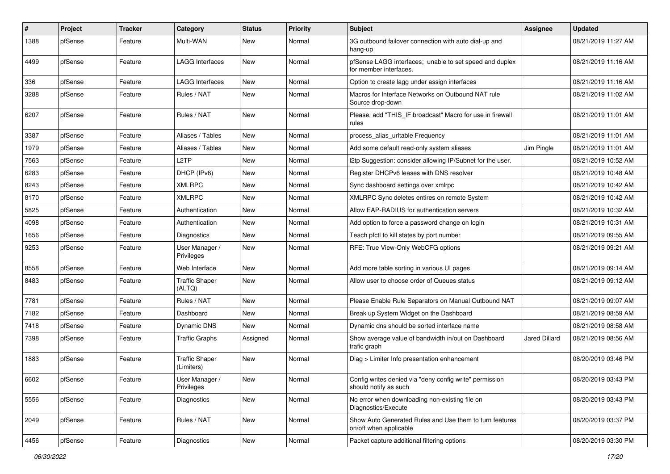| #    | Project | <b>Tracker</b> | Category                            | <b>Status</b> | <b>Priority</b> | <b>Subject</b>                                                                    | <b>Assignee</b> | <b>Updated</b>      |
|------|---------|----------------|-------------------------------------|---------------|-----------------|-----------------------------------------------------------------------------------|-----------------|---------------------|
| 1388 | pfSense | Feature        | Multi-WAN                           | New           | Normal          | 3G outbound failover connection with auto dial-up and<br>hang-up                  |                 | 08/21/2019 11:27 AM |
| 4499 | pfSense | Feature        | <b>LAGG Interfaces</b>              | New           | Normal          | pfSense LAGG interfaces; unable to set speed and duplex<br>for member interfaces. |                 | 08/21/2019 11:16 AM |
| 336  | pfSense | Feature        | <b>LAGG Interfaces</b>              | <b>New</b>    | Normal          | Option to create lagg under assign interfaces                                     |                 | 08/21/2019 11:16 AM |
| 3288 | pfSense | Feature        | Rules / NAT                         | New           | Normal          | Macros for Interface Networks on Outbound NAT rule<br>Source drop-down            |                 | 08/21/2019 11:02 AM |
| 6207 | pfSense | Feature        | Rules / NAT                         | New           | Normal          | Please, add "THIS IF broadcast" Macro for use in firewall<br>rules                |                 | 08/21/2019 11:01 AM |
| 3387 | pfSense | Feature        | Aliases / Tables                    | New           | Normal          | process_alias_urItable Frequency                                                  |                 | 08/21/2019 11:01 AM |
| 1979 | pfSense | Feature        | Aliases / Tables                    | New           | Normal          | Add some default read-only system aliases                                         | Jim Pingle      | 08/21/2019 11:01 AM |
| 7563 | pfSense | Feature        | L <sub>2</sub> TP                   | New           | Normal          | I2tp Suggestion: consider allowing IP/Subnet for the user.                        |                 | 08/21/2019 10:52 AM |
| 6283 | pfSense | Feature        | DHCP (IPv6)                         | New           | Normal          | Register DHCPv6 leases with DNS resolver                                          |                 | 08/21/2019 10:48 AM |
| 8243 | pfSense | Feature        | <b>XMLRPC</b>                       | New           | Normal          | Sync dashboard settings over xmlrpc                                               |                 | 08/21/2019 10:42 AM |
| 8170 | pfSense | Feature        | <b>XMLRPC</b>                       | New           | Normal          | XMLRPC Sync deletes entires on remote System                                      |                 | 08/21/2019 10:42 AM |
| 5825 | pfSense | Feature        | Authentication                      | New           | Normal          | Allow EAP-RADIUS for authentication servers                                       |                 | 08/21/2019 10:32 AM |
| 4098 | pfSense | Feature        | Authentication                      | New           | Normal          | Add option to force a password change on login                                    |                 | 08/21/2019 10:31 AM |
| 1656 | pfSense | Feature        | Diagnostics                         | New           | Normal          | Teach pfctl to kill states by port number                                         |                 | 08/21/2019 09:55 AM |
| 9253 | pfSense | Feature        | User Manager /<br>Privileges        | New           | Normal          | RFE: True View-Only WebCFG options                                                |                 | 08/21/2019 09:21 AM |
| 8558 | pfSense | Feature        | Web Interface                       | <b>New</b>    | Normal          | Add more table sorting in various UI pages                                        |                 | 08/21/2019 09:14 AM |
| 8483 | pfSense | Feature        | <b>Traffic Shaper</b><br>(ALTQ)     | New           | Normal          | Allow user to choose order of Queues status                                       |                 | 08/21/2019 09:12 AM |
| 7781 | pfSense | Feature        | Rules / NAT                         | New           | Normal          | Please Enable Rule Separators on Manual Outbound NAT                              |                 | 08/21/2019 09:07 AM |
| 7182 | pfSense | Feature        | Dashboard                           | New           | Normal          | Break up System Widget on the Dashboard                                           |                 | 08/21/2019 08:59 AM |
| 7418 | pfSense | Feature        | Dynamic DNS                         | New           | Normal          | Dynamic dns should be sorted interface name                                       |                 | 08/21/2019 08:58 AM |
| 7398 | pfSense | Feature        | <b>Traffic Graphs</b>               | Assigned      | Normal          | Show average value of bandwidth in/out on Dashboard<br>trafic graph               | Jared Dillard   | 08/21/2019 08:56 AM |
| 1883 | pfSense | Feature        | <b>Traffic Shaper</b><br>(Limiters) | New           | Normal          | Diag > Limiter Info presentation enhancement                                      |                 | 08/20/2019 03:46 PM |
| 6602 | pfSense | Feature        | User Manager /<br>Privileges        | New           | Normal          | Config writes denied via "deny config write" permission<br>should notify as such  |                 | 08/20/2019 03:43 PM |
| 5556 | pfSense | Feature        | Diagnostics                         | New           | Normal          | No error when downloading non-existing file on<br>Diagnostics/Execute             |                 | 08/20/2019 03:43 PM |
| 2049 | pfSense | Feature        | Rules / NAT                         | New           | Normal          | Show Auto Generated Rules and Use them to turn features<br>on/off when applicable |                 | 08/20/2019 03:37 PM |
| 4456 | pfSense | Feature        | Diagnostics                         | New           | Normal          | Packet capture additional filtering options                                       |                 | 08/20/2019 03:30 PM |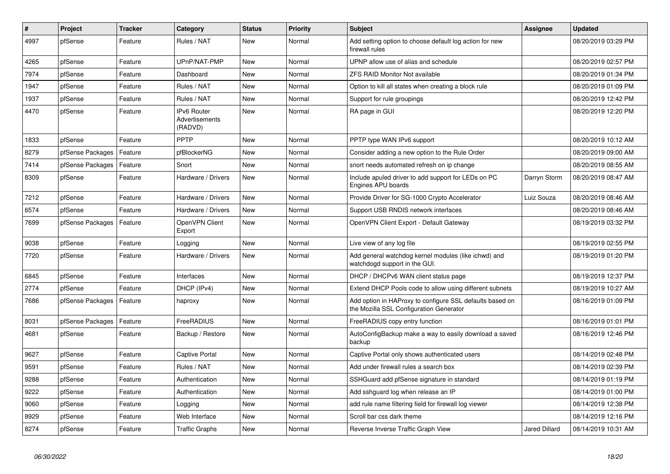| $\#$ | Project          | <b>Tracker</b> | Category                                 | <b>Status</b> | Priority | <b>Subject</b>                                                                                      | <b>Assignee</b>      | <b>Updated</b>      |
|------|------------------|----------------|------------------------------------------|---------------|----------|-----------------------------------------------------------------------------------------------------|----------------------|---------------------|
| 4997 | pfSense          | Feature        | Rules / NAT                              | New           | Normal   | Add setting option to choose default log action for new<br>firewall rules                           |                      | 08/20/2019 03:29 PM |
| 4265 | pfSense          | Feature        | UPnP/NAT-PMP                             | New           | Normal   | UPNP allow use of alias and schedule                                                                |                      | 08/20/2019 02:57 PM |
| 7974 | pfSense          | Feature        | Dashboard                                | New           | Normal   | ZFS RAID Monitor Not available                                                                      |                      | 08/20/2019 01:34 PM |
| 1947 | pfSense          | Feature        | Rules / NAT                              | New           | Normal   | Option to kill all states when creating a block rule                                                |                      | 08/20/2019 01:09 PM |
| 1937 | pfSense          | Feature        | Rules / NAT                              | New           | Normal   | Support for rule groupings                                                                          |                      | 08/20/2019 12:42 PM |
| 4470 | pfSense          | Feature        | IPv6 Router<br>Advertisements<br>(RADVD) | New           | Normal   | RA page in GUI                                                                                      |                      | 08/20/2019 12:20 PM |
| 1833 | pfSense          | Feature        | PPTP                                     | New           | Normal   | PPTP type WAN IPv6 support                                                                          |                      | 08/20/2019 10:12 AM |
| 8279 | pfSense Packages | Feature        | pfBlockerNG                              | New           | Normal   | Consider adding a new option to the Rule Order                                                      |                      | 08/20/2019 09:00 AM |
| 7414 | pfSense Packages | Feature        | Snort                                    | New           | Normal   | snort needs automated refresh on ip change                                                          |                      | 08/20/2019 08:55 AM |
| 8309 | pfSense          | Feature        | Hardware / Drivers                       | New           | Normal   | Include apuled driver to add support for LEDs on PC<br>Engines APU boards                           | Darryn Storm         | 08/20/2019 08:47 AM |
| 7212 | pfSense          | Feature        | Hardware / Drivers                       | <b>New</b>    | Normal   | Provide Driver for SG-1000 Crypto Accelerator                                                       | Luiz Souza           | 08/20/2019 08:46 AM |
| 6574 | pfSense          | Feature        | Hardware / Drivers                       | New           | Normal   | Support USB RNDIS network interfaces                                                                |                      | 08/20/2019 08:46 AM |
| 7699 | pfSense Packages | Feature        | OpenVPN Client<br>Export                 | New           | Normal   | OpenVPN Client Export - Default Gateway                                                             |                      | 08/19/2019 03:32 PM |
| 9038 | pfSense          | Feature        | Logging                                  | New           | Normal   | Live view of any log file                                                                           |                      | 08/19/2019 02:55 PM |
| 7720 | pfSense          | Feature        | Hardware / Drivers                       | New           | Normal   | Add general watchdog kernel modules (like ichwd) and<br>watchdogd support in the GUI.               |                      | 08/19/2019 01:20 PM |
| 6845 | pfSense          | Feature        | Interfaces                               | <b>New</b>    | Normal   | DHCP / DHCPv6 WAN client status page                                                                |                      | 08/19/2019 12:37 PM |
| 2774 | pfSense          | Feature        | DHCP (IPv4)                              | <b>New</b>    | Normal   | Extend DHCP Pools code to allow using different subnets                                             |                      | 08/19/2019 10:27 AM |
| 7686 | pfSense Packages | Feature        | haproxy                                  | New           | Normal   | Add option in HAProxy to configure SSL defaults based on<br>the Mozilla SSL Configuration Generator |                      | 08/16/2019 01:09 PM |
| 8031 | pfSense Packages | Feature        | FreeRADIUS                               | <b>New</b>    | Normal   | FreeRADIUS copy entry function                                                                      |                      | 08/16/2019 01:01 PM |
| 4681 | pfSense          | Feature        | Backup / Restore                         | New           | Normal   | AutoConfigBackup make a way to easily download a saved<br>backup                                    |                      | 08/16/2019 12:46 PM |
| 9627 | pfSense          | Feature        | Captive Portal                           | New           | Normal   | Captive Portal only shows authenticated users                                                       |                      | 08/14/2019 02:48 PM |
| 9591 | pfSense          | Feature        | Rules / NAT                              | New           | Normal   | Add under firewall rules a search box                                                               |                      | 08/14/2019 02:39 PM |
| 9288 | pfSense          | Feature        | Authentication                           | <b>New</b>    | Normal   | SSHGuard add pfSense signature in standard                                                          |                      | 08/14/2019 01:19 PM |
| 9222 | pfSense          | Feature        | Authentication                           | New           | Normal   | Add sshguard log when release an IP                                                                 |                      | 08/14/2019 01:00 PM |
| 9060 | pfSense          | Feature        | Logging                                  | New           | Normal   | add rule name filtering field for firewall log viewer                                               |                      | 08/14/2019 12:38 PM |
| 8929 | pfSense          | Feature        | Web Interface                            | <b>New</b>    | Normal   | Scroll bar css dark theme                                                                           |                      | 08/14/2019 12:16 PM |
| 8274 | pfSense          | Feature        | <b>Traffic Graphs</b>                    | New           | Normal   | Reverse Inverse Traffic Graph View                                                                  | <b>Jared Dillard</b> | 08/14/2019 10:31 AM |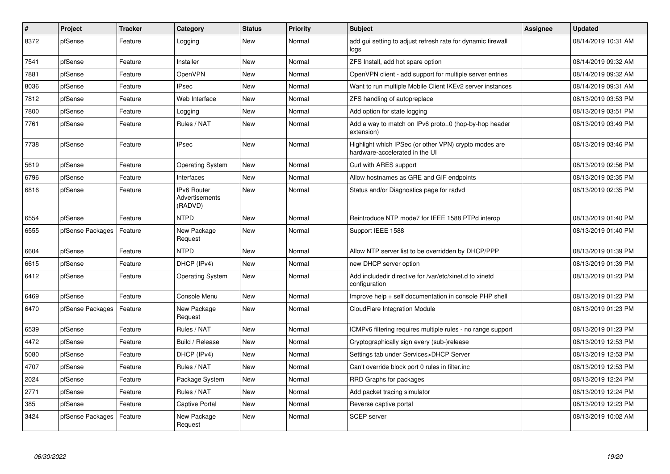| $\vert$ # | <b>Project</b>   | <b>Tracker</b> | Category                                 | <b>Status</b> | Priority | <b>Subject</b>                                                                          | Assignee | <b>Updated</b>      |
|-----------|------------------|----------------|------------------------------------------|---------------|----------|-----------------------------------------------------------------------------------------|----------|---------------------|
| 8372      | pfSense          | Feature        | Logging                                  | <b>New</b>    | Normal   | add gui setting to adjust refresh rate for dynamic firewall<br>logs                     |          | 08/14/2019 10:31 AM |
| 7541      | pfSense          | Feature        | Installer                                | <b>New</b>    | Normal   | ZFS Install, add hot spare option                                                       |          | 08/14/2019 09:32 AM |
| 7881      | pfSense          | Feature        | OpenVPN                                  | <b>New</b>    | Normal   | OpenVPN client - add support for multiple server entries                                |          | 08/14/2019 09:32 AM |
| 8036      | pfSense          | Feature        | <b>IPsec</b>                             | <b>New</b>    | Normal   | Want to run multiple Mobile Client IKEv2 server instances                               |          | 08/14/2019 09:31 AM |
| 7812      | pfSense          | Feature        | Web Interface                            | New           | Normal   | ZFS handling of autopreplace                                                            |          | 08/13/2019 03:53 PM |
| 7800      | pfSense          | Feature        | Logging                                  | New           | Normal   | Add option for state logging                                                            |          | 08/13/2019 03:51 PM |
| 7761      | pfSense          | Feature        | Rules / NAT                              | New           | Normal   | Add a way to match on IPv6 proto=0 (hop-by-hop header<br>extension)                     |          | 08/13/2019 03:49 PM |
| 7738      | pfSense          | Feature        | <b>IPsec</b>                             | <b>New</b>    | Normal   | Highlight which IPSec (or other VPN) crypto modes are<br>hardware-accelerated in the UI |          | 08/13/2019 03:46 PM |
| 5619      | pfSense          | Feature        | <b>Operating System</b>                  | New           | Normal   | Curl with ARES support                                                                  |          | 08/13/2019 02:56 PM |
| 6796      | pfSense          | Feature        | Interfaces                               | <b>New</b>    | Normal   | Allow hostnames as GRE and GIF endpoints                                                |          | 08/13/2019 02:35 PM |
| 6816      | pfSense          | Feature        | IPv6 Router<br>Advertisements<br>(RADVD) | New           | Normal   | Status and/or Diagnostics page for radvd                                                |          | 08/13/2019 02:35 PM |
| 6554      | pfSense          | Feature        | <b>NTPD</b>                              | New           | Normal   | Reintroduce NTP mode7 for IEEE 1588 PTPd interop                                        |          | 08/13/2019 01:40 PM |
| 6555      | pfSense Packages | Feature        | New Package<br>Request                   | New           | Normal   | Support IEEE 1588                                                                       |          | 08/13/2019 01:40 PM |
| 6604      | pfSense          | Feature        | <b>NTPD</b>                              | New           | Normal   | Allow NTP server list to be overridden by DHCP/PPP                                      |          | 08/13/2019 01:39 PM |
| 6615      | pfSense          | Feature        | DHCP (IPv4)                              | New           | Normal   | new DHCP server option                                                                  |          | 08/13/2019 01:39 PM |
| 6412      | pfSense          | Feature        | <b>Operating System</b>                  | <b>New</b>    | Normal   | Add includedir directive for /var/etc/xinet.d to xinetd<br>configuration                |          | 08/13/2019 01:23 PM |
| 6469      | pfSense          | Feature        | Console Menu                             | New           | Normal   | Improve help + self documentation in console PHP shell                                  |          | 08/13/2019 01:23 PM |
| 6470      | pfSense Packages | Feature        | New Package<br>Request                   | <b>New</b>    | Normal   | <b>CloudFlare Integration Module</b>                                                    |          | 08/13/2019 01:23 PM |
| 6539      | pfSense          | Feature        | Rules / NAT                              | <b>New</b>    | Normal   | ICMPv6 filtering requires multiple rules - no range support                             |          | 08/13/2019 01:23 PM |
| 4472      | pfSense          | Feature        | Build / Release                          | <b>New</b>    | Normal   | Cryptographically sign every (sub-)release                                              |          | 08/13/2019 12:53 PM |
| 5080      | pfSense          | Feature        | DHCP (IPv4)                              | <b>New</b>    | Normal   | Settings tab under Services>DHCP Server                                                 |          | 08/13/2019 12:53 PM |
| 4707      | pfSense          | Feature        | Rules / NAT                              | <b>New</b>    | Normal   | Can't override block port 0 rules in filter.inc                                         |          | 08/13/2019 12:53 PM |
| 2024      | pfSense          | Feature        | Package System                           | New           | Normal   | RRD Graphs for packages                                                                 |          | 08/13/2019 12:24 PM |
| 2771      | pfSense          | Feature        | Rules / NAT                              | New           | Normal   | Add packet tracing simulator                                                            |          | 08/13/2019 12:24 PM |
| 385       | pfSense          | Feature        | Captive Portal                           | New           | Normal   | Reverse captive portal                                                                  |          | 08/13/2019 12:23 PM |
| 3424      | pfSense Packages | Feature        | New Package<br>Request                   | New           | Normal   | <b>SCEP</b> server                                                                      |          | 08/13/2019 10:02 AM |